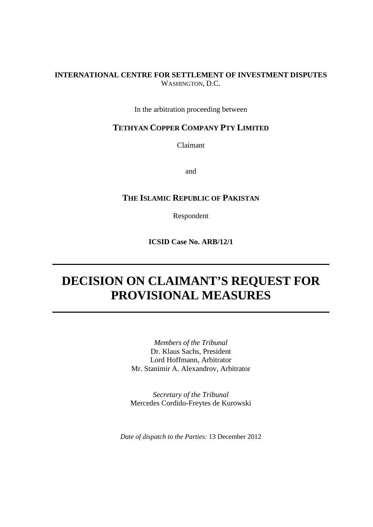## **INTERNATIONAL CENTRE FOR SETTLEMENT OF INVESTMENT DISPUTES** WASHINGTON, D.C.

In the arbitration proceeding between

## **TETHYAN COPPER COMPANY PTY LIMITED**

Claimant

and

# **THE ISLAMIC REPUBLIC OF PAKISTAN**

Respondent

**ICSID Case No. ARB/12/1**

# **DECISION ON CLAIMANT'S REQUEST FOR PROVISIONAL MEASURES**

*Members of the Tribunal* Dr. Klaus Sachs, President Lord Hoffmann, Arbitrator Mr. Stanimir A. Alexandrov, Arbitrator

*Secretary of the Tribunal* Mercedes Cordido-Freytes de Kurowski

*Date of dispatch to the Parties:* 13 December 2012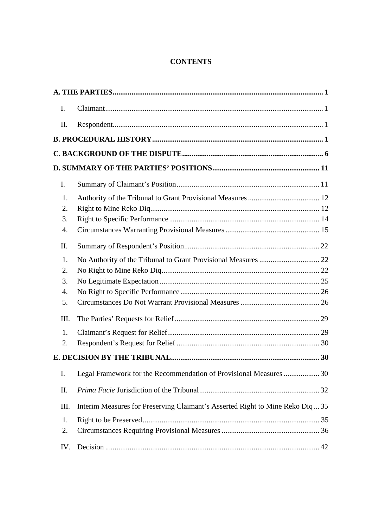# **CONTENTS**

| $\mathbf{I}$ . |                                                                                      |  |
|----------------|--------------------------------------------------------------------------------------|--|
| II.            |                                                                                      |  |
|                |                                                                                      |  |
|                |                                                                                      |  |
|                |                                                                                      |  |
| $\mathbf{I}$ . |                                                                                      |  |
|                | 1.                                                                                   |  |
|                | 2.                                                                                   |  |
|                | 3.                                                                                   |  |
|                | 4.                                                                                   |  |
| II.            |                                                                                      |  |
|                | 1.                                                                                   |  |
|                | 2.                                                                                   |  |
|                | 3.                                                                                   |  |
|                | $\overline{4}$ .                                                                     |  |
|                | 5.                                                                                   |  |
|                | III.                                                                                 |  |
|                | 1.                                                                                   |  |
|                | 2.                                                                                   |  |
|                |                                                                                      |  |
| I.             | Legal Framework for the Recommendation of Provisional Measures  30                   |  |
| II.            |                                                                                      |  |
|                | Interim Measures for Preserving Claimant's Asserted Right to Mine Reko Diq35<br>III. |  |
|                | 1.                                                                                   |  |
|                | 2.                                                                                   |  |
|                | IV.                                                                                  |  |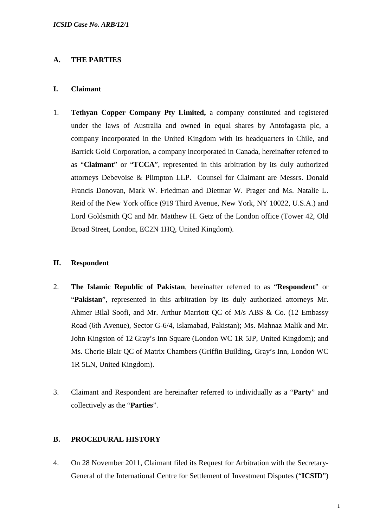## **A. THE PARTIES**

#### **I. Claimant**

1. **Tethyan Copper Company Pty Limited,** a company constituted and registered under the laws of Australia and owned in equal shares by Antofagasta plc, a company incorporated in the United Kingdom with its headquarters in Chile, and Barrick Gold Corporation, a company incorporated in Canada, hereinafter referred to as "**Claimant**" or "**TCCA**", represented in this arbitration by its duly authorized attorneys Debevoise & Plimpton LLP. Counsel for Claimant are Messrs. Donald Francis Donovan, Mark W. Friedman and Dietmar W. Prager and Ms. Natalie L. Reid of the New York office (919 Third Avenue, New York, NY 10022, U.S.A.) and Lord Goldsmith QC and Mr. Matthew H. Getz of the London office (Tower 42, Old Broad Street, London, EC2N 1HQ, United Kingdom).

#### **II. Respondent**

- 2. **The Islamic Republic of Pakistan**, hereinafter referred to as "**Respondent**" or "**Pakistan**", represented in this arbitration by its duly authorized attorneys Mr. Ahmer Bilal Soofi, and Mr. Arthur Marriott QC of M/s ABS & Co. (12 Embassy Road (6th Avenue), Sector G-6/4, Islamabad, Pakistan); Ms. Mahnaz Malik and Mr. John Kingston of 12 Gray's Inn Square (London WC 1R 5JP, United Kingdom); and Ms. Cherie Blair QC of Matrix Chambers (Griffin Building, Gray's Inn, London WC 1R 5LN, United Kingdom).
- 3. Claimant and Respondent are hereinafter referred to individually as a "**Party**" and collectively as the "**Parties**".

## **B. PROCEDURAL HISTORY**

4. On 28 November 2011, Claimant filed its Request for Arbitration with the Secretary-General of the International Centre for Settlement of Investment Disputes ("**ICSID**")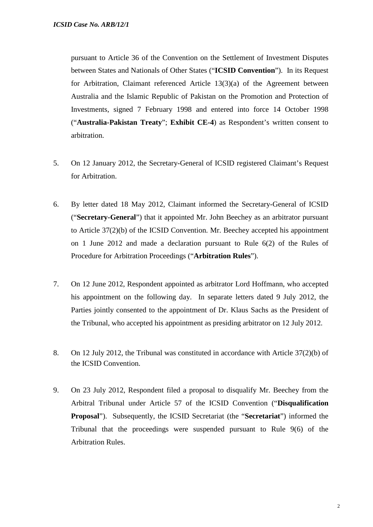pursuant to Article 36 of the Convention on the Settlement of Investment Disputes between States and Nationals of Other States ("**ICSID Convention**"). In its Request for Arbitration, Claimant referenced Article 13(3)(a) of the Agreement between Australia and the Islamic Republic of Pakistan on the Promotion and Protection of Investments, signed 7 February 1998 and entered into force 14 October 1998 ("**Australia-Pakistan Treaty**"; **Exhibit CE-4**) as Respondent's written consent to arbitration.

- 5. On 12 January 2012, the Secretary-General of ICSID registered Claimant's Request for Arbitration.
- 6. By letter dated 18 May 2012, Claimant informed the Secretary-General of ICSID ("**Secretary-General**") that it appointed Mr. John Beechey as an arbitrator pursuant to Article 37(2)(b) of the ICSID Convention. Mr. Beechey accepted his appointment on 1 June 2012 and made a declaration pursuant to Rule 6(2) of the Rules of Procedure for Arbitration Proceedings ("**Arbitration Rules**").
- 7. On 12 June 2012, Respondent appointed as arbitrator Lord Hoffmann, who accepted his appointment on the following day. In separate letters dated 9 July 2012, the Parties jointly consented to the appointment of Dr. Klaus Sachs as the President of the Tribunal, who accepted his appointment as presiding arbitrator on 12 July 2012.
- 8. On 12 July 2012, the Tribunal was constituted in accordance with Article 37(2)(b) of the ICSID Convention.
- 9. On 23 July 2012, Respondent filed a proposal to disqualify Mr. Beechey from the Arbitral Tribunal under Article 57 of the ICSID Convention ("**Disqualification Proposal**"). Subsequently, the ICSID Secretariat (the "**Secretariat**") informed the Tribunal that the proceedings were suspended pursuant to Rule 9(6) of the Arbitration Rules.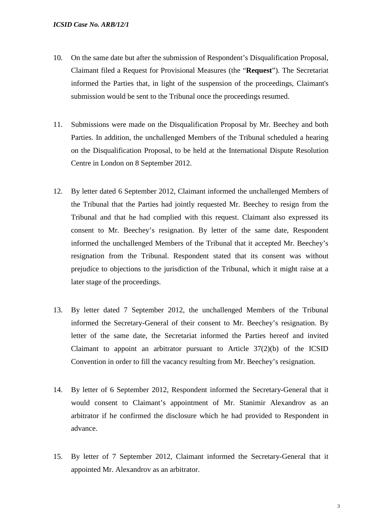- 10. On the same date but after the submission of Respondent's Disqualification Proposal, Claimant filed a Request for Provisional Measures (the "**Request**"). The Secretariat informed the Parties that, in light of the suspension of the proceedings, Claimant's submission would be sent to the Tribunal once the proceedings resumed.
- 11. Submissions were made on the Disqualification Proposal by Mr. Beechey and both Parties. In addition, the unchallenged Members of the Tribunal scheduled a hearing on the Disqualification Proposal, to be held at the International Dispute Resolution Centre in London on 8 September 2012.
- 12. By letter dated 6 September 2012, Claimant informed the unchallenged Members of the Tribunal that the Parties had jointly requested Mr. Beechey to resign from the Tribunal and that he had complied with this request. Claimant also expressed its consent to Mr. Beechey's resignation. By letter of the same date, Respondent informed the unchallenged Members of the Tribunal that it accepted Mr. Beechey's resignation from the Tribunal. Respondent stated that its consent was without prejudice to objections to the jurisdiction of the Tribunal, which it might raise at a later stage of the proceedings.
- 13. By letter dated 7 September 2012, the unchallenged Members of the Tribunal informed the Secretary-General of their consent to Mr. Beechey's resignation. By letter of the same date, the Secretariat informed the Parties hereof and invited Claimant to appoint an arbitrator pursuant to Article  $37(2)(b)$  of the ICSID Convention in order to fill the vacancy resulting from Mr. Beechey's resignation.
- 14. By letter of 6 September 2012, Respondent informed the Secretary-General that it would consent to Claimant's appointment of Mr. Stanimir Alexandrov as an arbitrator if he confirmed the disclosure which he had provided to Respondent in advance.
- 15. By letter of 7 September 2012, Claimant informed the Secretary-General that it appointed Mr. Alexandrov as an arbitrator.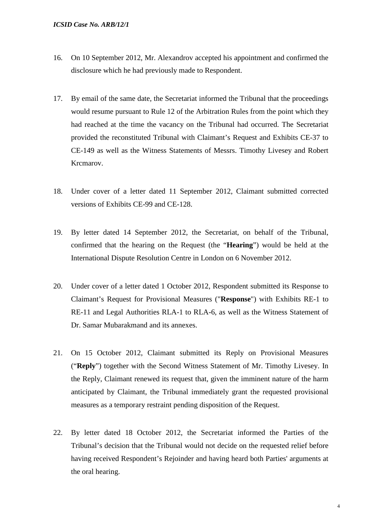- 16. On 10 September 2012, Mr. Alexandrov accepted his appointment and confirmed the disclosure which he had previously made to Respondent.
- 17. By email of the same date, the Secretariat informed the Tribunal that the proceedings would resume pursuant to Rule 12 of the Arbitration Rules from the point which they had reached at the time the vacancy on the Tribunal had occurred. The Secretariat provided the reconstituted Tribunal with Claimant's Request and Exhibits CE-37 to CE-149 as well as the Witness Statements of Messrs. Timothy Livesey and Robert Krcmarov.
- 18. Under cover of a letter dated 11 September 2012, Claimant submitted corrected versions of Exhibits CE-99 and CE-128.
- 19. By letter dated 14 September 2012, the Secretariat, on behalf of the Tribunal, confirmed that the hearing on the Request (the "**Hearing**") would be held at the International Dispute Resolution Centre in London on 6 November 2012.
- 20. Under cover of a letter dated 1 October 2012, Respondent submitted its Response to Claimant's Request for Provisional Measures ("**Response**") with Exhibits RE-1 to RE-11 and Legal Authorities RLA-1 to RLA-6, as well as the Witness Statement of Dr. Samar Mubarakmand and its annexes.
- 21. On 15 October 2012, Claimant submitted its Reply on Provisional Measures ("**Reply**") together with the Second Witness Statement of Mr. Timothy Livesey. In the Reply, Claimant renewed its request that, given the imminent nature of the harm anticipated by Claimant, the Tribunal immediately grant the requested provisional measures as a temporary restraint pending disposition of the Request.
- 22. By letter dated 18 October 2012, the Secretariat informed the Parties of the Tribunal's decision that the Tribunal would not decide on the requested relief before having received Respondent's Rejoinder and having heard both Parties' arguments at the oral hearing.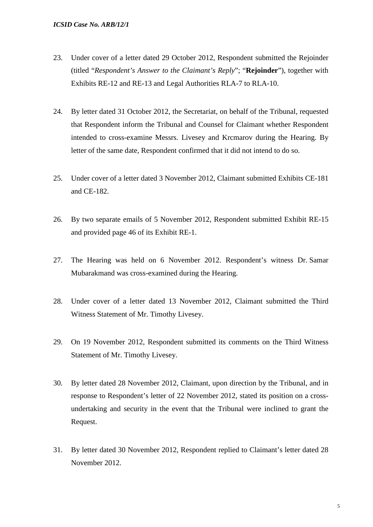- 23. Under cover of a letter dated 29 October 2012, Respondent submitted the Rejoinder (titled "*Respondent's Answer to the Claimant's Reply*"; "**Rejoinder**"), together with Exhibits RE-12 and RE-13 and Legal Authorities RLA-7 to RLA-10.
- 24. By letter dated 31 October 2012, the Secretariat, on behalf of the Tribunal, requested that Respondent inform the Tribunal and Counsel for Claimant whether Respondent intended to cross-examine Messrs. Livesey and Krcmarov during the Hearing. By letter of the same date, Respondent confirmed that it did not intend to do so.
- 25. Under cover of a letter dated 3 November 2012, Claimant submitted Exhibits CE-181 and CE-182.
- 26. By two separate emails of 5 November 2012, Respondent submitted Exhibit RE-15 and provided page 46 of its Exhibit RE-1.
- 27. The Hearing was held on 6 November 2012. Respondent's witness Dr. Samar Mubarakmand was cross-examined during the Hearing.
- 28. Under cover of a letter dated 13 November 2012, Claimant submitted the Third Witness Statement of Mr. Timothy Livesey.
- 29. On 19 November 2012, Respondent submitted its comments on the Third Witness Statement of Mr. Timothy Livesey.
- 30. By letter dated 28 November 2012, Claimant, upon direction by the Tribunal, and in response to Respondent's letter of 22 November 2012, stated its position on a crossundertaking and security in the event that the Tribunal were inclined to grant the Request.
- 31. By letter dated 30 November 2012, Respondent replied to Claimant's letter dated 28 November 2012.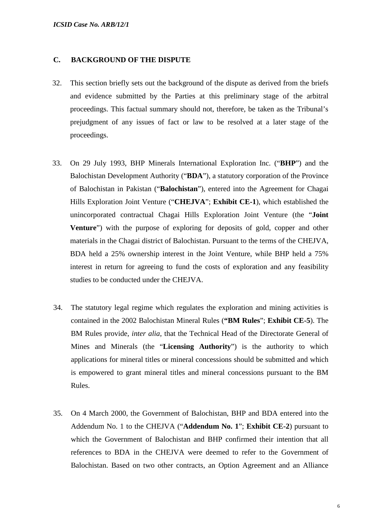## **C. BACKGROUND OF THE DISPUTE**

- 32. This section briefly sets out the background of the dispute as derived from the briefs and evidence submitted by the Parties at this preliminary stage of the arbitral proceedings. This factual summary should not, therefore, be taken as the Tribunal's prejudgment of any issues of fact or law to be resolved at a later stage of the proceedings.
- 33. On 29 July 1993, BHP Minerals International Exploration Inc. ("**BHP**") and the Balochistan Development Authority ("**BDA**"), a statutory corporation of the Province of Balochistan in Pakistan ("**Balochistan**"), entered into the Agreement for Chagai Hills Exploration Joint Venture ("**CHEJVA**"; **Exhibit CE-1**), which established the unincorporated contractual Chagai Hills Exploration Joint Venture (the "**Joint Venture**") with the purpose of exploring for deposits of gold, copper and other materials in the Chagai district of Balochistan. Pursuant to the terms of the CHEJVA, BDA held a 25% ownership interest in the Joint Venture, while BHP held a 75% interest in return for agreeing to fund the costs of exploration and any feasibility studies to be conducted under the CHEJVA.
- 34. The statutory legal regime which regulates the exploration and mining activities is contained in the 2002 Balochistan Mineral Rules (**"BM Rules**"; **Exhibit CE-5**). The BM Rules provide, *inter alia*, that the Technical Head of the Directorate General of Mines and Minerals (the "**Licensing Authority**") is the authority to which applications for mineral titles or mineral concessions should be submitted and which is empowered to grant mineral titles and mineral concessions pursuant to the BM Rules.
- 35. On 4 March 2000, the Government of Balochistan, BHP and BDA entered into the Addendum No. 1 to the CHEJVA ("**Addendum No. 1**"; **Exhibit CE-2**) pursuant to which the Government of Balochistan and BHP confirmed their intention that all references to BDA in the CHEJVA were deemed to refer to the Government of Balochistan. Based on two other contracts, an Option Agreement and an Alliance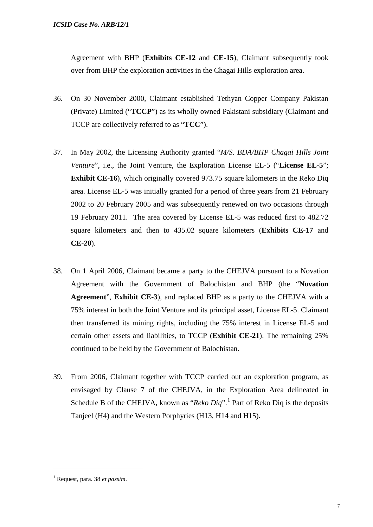Agreement with BHP (**Exhibits CE-12** and **CE-15**), Claimant subsequently took over from BHP the exploration activities in the Chagai Hills exploration area.

- 36. On 30 November 2000, Claimant established Tethyan Copper Company Pakistan (Private) Limited ("**TCCP**") as its wholly owned Pakistani subsidiary (Claimant and TCCP are collectively referred to as "**TCC**").
- 37. In May 2002, the Licensing Authority granted "*M/S. BDA/BHP Chagai Hills Joint Venture*", i.e., the Joint Venture, the Exploration License EL-5 ("**License EL-5**"; **Exhibit CE-16**), which originally covered 973.75 square kilometers in the Reko Diq area. License EL-5 was initially granted for a period of three years from 21 February 2002 to 20 February 2005 and was subsequently renewed on two occasions through 19 February 2011. The area covered by License EL-5 was reduced first to 482.72 square kilometers and then to 435.02 square kilometers (**Exhibits CE-17** and **CE-20**).
- 38. On 1 April 2006, Claimant became a party to the CHEJVA pursuant to a Novation Agreement with the Government of Balochistan and BHP (the "**Novation Agreement**", **Exhibit CE-3**), and replaced BHP as a party to the CHEJVA with a 75% interest in both the Joint Venture and its principal asset, License EL-5. Claimant then transferred its mining rights, including the 75% interest in License EL-5 and certain other assets and liabilities, to TCCP (**Exhibit CE-21**). The remaining 25% continued to be held by the Government of Balochistan.
- 39. From 2006, Claimant together with TCCP carried out an exploration program, as envisaged by Clause 7 of the CHEJVA, in the Exploration Area delineated in Schedule B of the CHEJVA, known as "*Reko Diq*".<sup>[1](#page-8-0)</sup> Part of Reko Dig is the deposits Tanjeel (H4) and the Western Porphyries (H13, H14 and H15).

<span id="page-8-0"></span><sup>1</sup> Request, para. 38 *et passim*.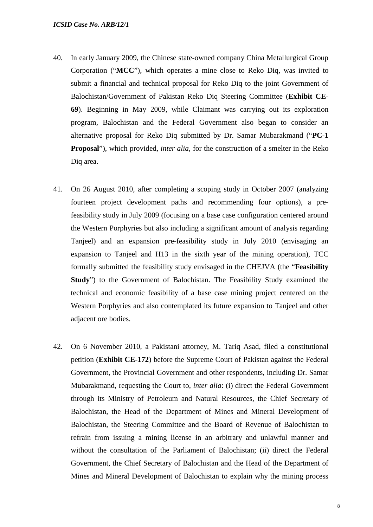- 40. In early January 2009, the Chinese state-owned company China Metallurgical Group Corporation ("**MCC**"), which operates a mine close to Reko Diq, was invited to submit a financial and technical proposal for Reko Diq to the joint Government of Balochistan/Government of Pakistan Reko Diq Steering Committee (**Exhibit CE-69**). Beginning in May 2009, while Claimant was carrying out its exploration program, Balochistan and the Federal Government also began to consider an alternative proposal for Reko Diq submitted by Dr. Samar Mubarakmand ("**PC-1 Proposal**"), which provided, *inter alia*, for the construction of a smelter in the Reko Diq area.
- 41. On 26 August 2010, after completing a scoping study in October 2007 (analyzing fourteen project development paths and recommending four options), a prefeasibility study in July 2009 (focusing on a base case configuration centered around the Western Porphyries but also including a significant amount of analysis regarding Tanjeel) and an expansion pre-feasibility study in July 2010 (envisaging an expansion to Tanjeel and H13 in the sixth year of the mining operation), TCC formally submitted the feasibility study envisaged in the CHEJVA (the "**Feasibility Study**") to the Government of Balochistan. The Feasibility Study examined the technical and economic feasibility of a base case mining project centered on the Western Porphyries and also contemplated its future expansion to Tanjeel and other adjacent ore bodies.
- 42. On 6 November 2010, a Pakistani attorney, M. Tariq Asad, filed a constitutional petition (**Exhibit CE-172**) before the Supreme Court of Pakistan against the Federal Government, the Provincial Government and other respondents, including Dr. Samar Mubarakmand, requesting the Court to, *inter alia*: (i) direct the Federal Government through its Ministry of Petroleum and Natural Resources, the Chief Secretary of Balochistan, the Head of the Department of Mines and Mineral Development of Balochistan, the Steering Committee and the Board of Revenue of Balochistan to refrain from issuing a mining license in an arbitrary and unlawful manner and without the consultation of the Parliament of Balochistan; (ii) direct the Federal Government, the Chief Secretary of Balochistan and the Head of the Department of Mines and Mineral Development of Balochistan to explain why the mining process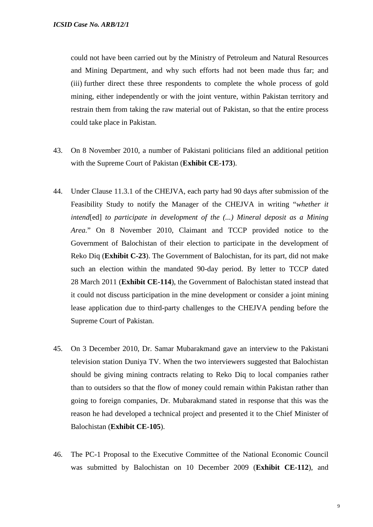could not have been carried out by the Ministry of Petroleum and Natural Resources and Mining Department, and why such efforts had not been made thus far; and (iii) further direct these three respondents to complete the whole process of gold mining, either independently or with the joint venture, within Pakistan territory and restrain them from taking the raw material out of Pakistan, so that the entire process could take place in Pakistan.

- 43. On 8 November 2010, a number of Pakistani politicians filed an additional petition with the Supreme Court of Pakistan (**Exhibit CE-173**).
- 44. Under Clause 11.3.1 of the CHEJVA, each party had 90 days after submission of the Feasibility Study to notify the Manager of the CHEJVA in writing "*whether it intend*[ed] *to participate in development of the (...) Mineral deposit as a Mining Area.*" On 8 November 2010, Claimant and TCCP provided notice to the Government of Balochistan of their election to participate in the development of Reko Diq (**Exhibit C-23**). The Government of Balochistan, for its part, did not make such an election within the mandated 90-day period. By letter to TCCP dated 28 March 2011 (**Exhibit CE-114**), the Government of Balochistan stated instead that it could not discuss participation in the mine development or consider a joint mining lease application due to third-party challenges to the CHEJVA pending before the Supreme Court of Pakistan.
- 45. On 3 December 2010, Dr. Samar Mubarakmand gave an interview to the Pakistani television station Duniya TV. When the two interviewers suggested that Balochistan should be giving mining contracts relating to Reko Diq to local companies rather than to outsiders so that the flow of money could remain within Pakistan rather than going to foreign companies, Dr. Mubarakmand stated in response that this was the reason he had developed a technical project and presented it to the Chief Minister of Balochistan (**Exhibit CE-105**).
- 46. The PC-1 Proposal to the Executive Committee of the National Economic Council was submitted by Balochistan on 10 December 2009 (**Exhibit CE-112**), and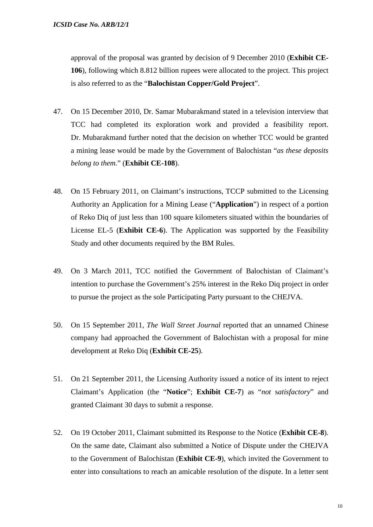approval of the proposal was granted by decision of 9 December 2010 (**Exhibit CE-106**), following which 8.812 billion rupees were allocated to the project. This project is also referred to as the "**Balochistan Copper/Gold Project**".

- 47. On 15 December 2010, Dr. Samar Mubarakmand stated in a television interview that TCC had completed its exploration work and provided a feasibility report. Dr. Mubarakmand further noted that the decision on whether TCC would be granted a mining lease would be made by the Government of Balochistan "*as these deposits belong to them.*" (**Exhibit CE-108**).
- 48. On 15 February 2011, on Claimant's instructions, TCCP submitted to the Licensing Authority an Application for a Mining Lease ("**Application**") in respect of a portion of Reko Diq of just less than 100 square kilometers situated within the boundaries of License EL-5 (**Exhibit CE-6**). The Application was supported by the Feasibility Study and other documents required by the BM Rules.
- 49. On 3 March 2011, TCC notified the Government of Balochistan of Claimant's intention to purchase the Government's 25% interest in the Reko Diq project in order to pursue the project as the sole Participating Party pursuant to the CHEJVA.
- 50. On 15 September 2011, *The Wall Street Journal* reported that an unnamed Chinese company had approached the Government of Balochistan with a proposal for mine development at Reko Diq (**Exhibit CE-25**).
- 51. On 21 September 2011, the Licensing Authority issued a notice of its intent to reject Claimant's Application (the "**Notice**"; **Exhibit CE-7**) as "*not* s*atisfactory*" and granted Claimant 30 days to submit a response.
- 52. On 19 October 2011, Claimant submitted its Response to the Notice (**Exhibit CE-8**). On the same date, Claimant also submitted a Notice of Dispute under the CHEJVA to the Government of Balochistan (**Exhibit CE-9**), which invited the Government to enter into consultations to reach an amicable resolution of the dispute. In a letter sent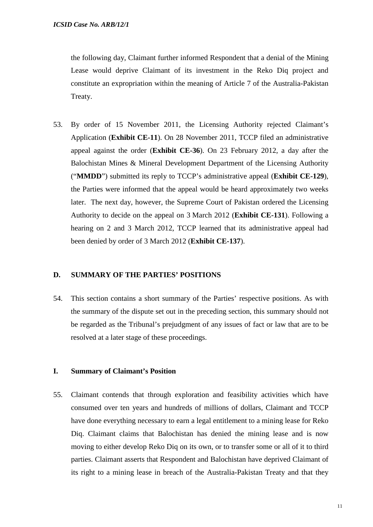the following day, Claimant further informed Respondent that a denial of the Mining Lease would deprive Claimant of its investment in the Reko Diq project and constitute an expropriation within the meaning of Article 7 of the Australia-Pakistan Treaty.

53. By order of 15 November 2011, the Licensing Authority rejected Claimant's Application (**Exhibit CE-11**). On 28 November 2011, TCCP filed an administrative appeal against the order (**Exhibit CE-36**). On 23 February 2012, a day after the Balochistan Mines & Mineral Development Department of the Licensing Authority ("**MMDD**") submitted its reply to TCCP's administrative appeal (**Exhibit CE-129**), the Parties were informed that the appeal would be heard approximately two weeks later. The next day, however, the Supreme Court of Pakistan ordered the Licensing Authority to decide on the appeal on 3 March 2012 (**Exhibit CE-131**). Following a hearing on 2 and 3 March 2012, TCCP learned that its administrative appeal had been denied by order of 3 March 2012 (**Exhibit CE-137**).

## **D. SUMMARY OF THE PARTIES' POSITIONS**

54. This section contains a short summary of the Parties' respective positions. As with the summary of the dispute set out in the preceding section, this summary should not be regarded as the Tribunal's prejudgment of any issues of fact or law that are to be resolved at a later stage of these proceedings.

#### **I. Summary of Claimant's Position**

55. Claimant contends that through exploration and feasibility activities which have consumed over ten years and hundreds of millions of dollars, Claimant and TCCP have done everything necessary to earn a legal entitlement to a mining lease for Reko Diq. Claimant claims that Balochistan has denied the mining lease and is now moving to either develop Reko Diq on its own, or to transfer some or all of it to third parties. Claimant asserts that Respondent and Balochistan have deprived Claimant of its right to a mining lease in breach of the Australia-Pakistan Treaty and that they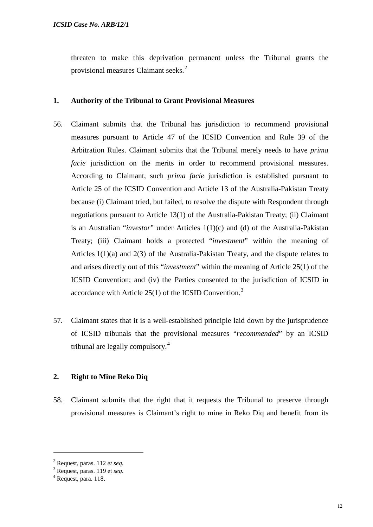threaten to make this deprivation permanent unless the Tribunal grants the provisional measures Claimant seeks.<sup>[2](#page-13-0)</sup>

#### **1. Authority of the Tribunal to Grant Provisional Measures**

- 56. Claimant submits that the Tribunal has jurisdiction to recommend provisional measures pursuant to Article 47 of the ICSID Convention and Rule 39 of the Arbitration Rules. Claimant submits that the Tribunal merely needs to have *prima facie* jurisdiction on the merits in order to recommend provisional measures. According to Claimant, such *prima facie* jurisdiction is established pursuant to Article 25 of the ICSID Convention and Article 13 of the Australia-Pakistan Treaty because (i) Claimant tried, but failed, to resolve the dispute with Respondent through negotiations pursuant to Article 13(1) of the Australia-Pakistan Treaty; (ii) Claimant is an Australian "*investor*" under Articles 1(1)(c) and (d) of the Australia-Pakistan Treaty; (iii) Claimant holds a protected "*investment*" within the meaning of Articles 1(1)(a) and 2(3) of the Australia-Pakistan Treaty, and the dispute relates to and arises directly out of this "*investment*" within the meaning of Article 25(1) of the ICSID Convention; and (iv) the Parties consented to the jurisdiction of ICSID in accordance with Article 25(1) of the ICSID Convention.<sup>[3](#page-13-1)</sup>
- 57. Claimant states that it is a well-established principle laid down by the jurisprudence of ICSID tribunals that the provisional measures "*recommended*" by an ICSID tribunal are legally compulsory.<sup>[4](#page-13-2)</sup>

## **2. Right to Mine Reko Diq**

58. Claimant submits that the right that it requests the Tribunal to preserve through provisional measures is Claimant's right to mine in Reko Diq and benefit from its

<span id="page-13-0"></span><sup>2</sup> Request, paras. 112 *et seq.*

<span id="page-13-1"></span><sup>3</sup> Request, paras. 119 et *seq*.

<span id="page-13-2"></span><sup>4</sup> Request, para. 118.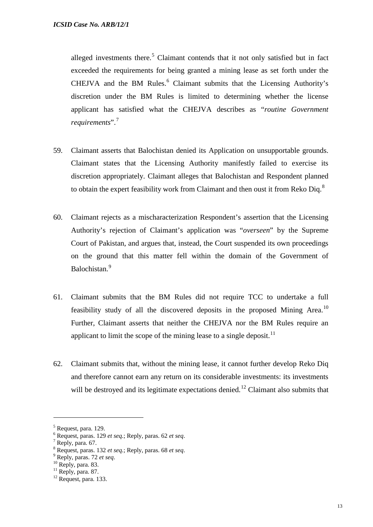alleged investments there.<sup>[5](#page-14-0)</sup> Claimant contends that it not only satisfied but in fact exceeded the requirements for being granted a mining lease as set forth under the CHEJVA and the BM Rules. $<sup>6</sup>$  $<sup>6</sup>$  $<sup>6</sup>$  Claimant submits that the Licensing Authority's</sup> discretion under the BM Rules is limited to determining whether the license applicant has satisfied what the CHEJVA describes as "*routine Government requirements*".[7](#page-14-2)

- 59. Claimant asserts that Balochistan denied its Application on unsupportable grounds. Claimant states that the Licensing Authority manifestly failed to exercise its discretion appropriately. Claimant alleges that Balochistan and Respondent planned to obtain the expert feasibility work from Claimant and then oust it from Reko Dig. $8$
- 60. Claimant rejects as a mischaracterization Respondent's assertion that the Licensing Authority's rejection of Claimant's application was "*overseen*" by the Supreme Court of Pakistan, and argues that, instead, the Court suspended its own proceedings on the ground that this matter fell within the domain of the Government of Balochistan.[9](#page-14-4)
- 61. Claimant submits that the BM Rules did not require TCC to undertake a full feasibility study of all the discovered deposits in the proposed Mining Area.<sup>[10](#page-14-5)</sup> Further, Claimant asserts that neither the CHEJVA nor the BM Rules require an applicant to limit the scope of the mining lease to a single deposit.<sup>[11](#page-14-6)</sup>
- 62. Claimant submits that, without the mining lease, it cannot further develop Reko Diq and therefore cannot earn any return on its considerable investments: its investments will be destroyed and its legitimate expectations denied.<sup>[12](#page-14-7)</sup> Claimant also submits that

 $<sup>5</sup>$  Request, para. 129.</sup>

<span id="page-14-1"></span><span id="page-14-0"></span><sup>6</sup> Request, paras. 129 *et seq.*; Reply, paras. 62 *et seq*. <sup>7</sup> Reply, para. 67.

<span id="page-14-2"></span>

<span id="page-14-3"></span><sup>&</sup>lt;sup>8</sup> Request, paras. 132 *et seq.*; Reply, paras. 68 *et seq.* 9 Reply, paras. 72 *et seq.* 10 Reply, para. 83. <sup>11</sup> Reply, para. 87. <sup>12</sup> Request, para. 133.

<span id="page-14-4"></span>

<span id="page-14-5"></span>

<span id="page-14-7"></span><span id="page-14-6"></span>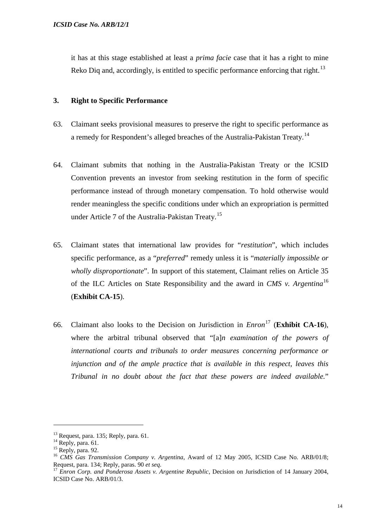it has at this stage established at least a *prima facie* case that it has a right to mine Reko Diq and, accordingly, is entitled to specific performance enforcing that right.<sup>[13](#page-15-0)</sup>

## **3. Right to Specific Performance**

- 63. Claimant seeks provisional measures to preserve the right to specific performance as a remedy for Respondent's alleged breaches of the Australia-Pakistan Treaty.<sup>14</sup>
- 64. Claimant submits that nothing in the Australia-Pakistan Treaty or the ICSID Convention prevents an investor from seeking restitution in the form of specific performance instead of through monetary compensation. To hold otherwise would render meaningless the specific conditions under which an expropriation is permitted under Article 7 of the Australia-Pakistan Treaty.<sup>[15](#page-15-2)</sup>
- 65. Claimant states that international law provides for "*restitution*", which includes specific performance, as a "*preferred*" remedy unless it is "*materially impossible or wholly disproportionate*". In support of this statement, Claimant relies on Article 35 of the ILC Articles on State Responsibility and the award in *CMS v. Argentina*[16](#page-15-3) (**Exhibit CA-15**).
- 66. Claimant also looks to the Decision on Jurisdiction in *Enron*[17](#page-15-4) (**Exhibit CA-16**), where the arbitral tribunal observed that "[a]*n examination of the powers of international courts and tribunals to order measures concerning performance or injunction and of the ample practice that is available in this respect, leaves this Tribunal in no doubt about the fact that these powers are indeed available.*"

<span id="page-15-2"></span>

<span id="page-15-1"></span><span id="page-15-0"></span><sup>&</sup>lt;sup>13</sup> Request, para. 135; Reply, para. 61.<br><sup>14</sup> Reply, para. 61.<br><sup>15</sup> Reply, para. 92.<br><sup>16</sup> *CMS Gas Transmission Company v. Argentina*, Award of 12 May 2005, ICSID Case No. ARB/01/8;<br>Request, para. 134; Reply, paras. 90 *e* 

<span id="page-15-4"></span><span id="page-15-3"></span><sup>&</sup>lt;sup>17</sup> *Enron Corp. and Ponderosa Assets v. Argentine Republic*, Decision on Jurisdiction of 14 January 2004, ICSID Case No. ARB/01/3.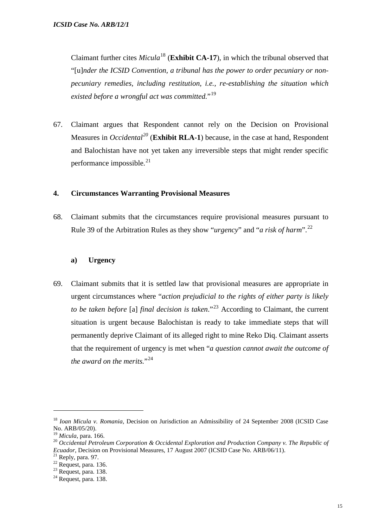Claimant further cites *Micula*[18](#page-16-0) (**Exhibit CA-17**), in which the tribunal observed that "[u]*nder the ICSID Convention, a tribunal has the power to order pecuniary or nonpecuniary remedies, including restitution, i.e., re-establishing the situation which existed before a wrongful act was committed.*"[19](#page-16-1)

67. Claimant argues that Respondent cannot rely on the Decision on Provisional Measures in *Occidental[20](#page-16-2)* (**Exhibit RLA-1**) because, in the case at hand, Respondent and Balochistan have not yet taken any irreversible steps that might render specific performance impossible. $^{21}$  $^{21}$  $^{21}$ 

#### **4. Circumstances Warranting Provisional Measures**

68. Claimant submits that the circumstances require provisional measures pursuant to Rule 39 of the Arbitration Rules as they show "*urgency*" and "*a risk of harm*".[22](#page-16-4)

#### **a) Urgency**

69. Claimant submits that it is settled law that provisional measures are appropriate in urgent circumstances where "*action prejudicial to the rights of either party is likely to be taken before* [a] *final decision is taken*."[23](#page-16-5) According to Claimant, the current situation is urgent because Balochistan is ready to take immediate steps that will permanently deprive Claimant of its alleged right to mine Reko Diq. Claimant asserts that the requirement of urgency is met when "*a question cannot await the outcome of the award on the merits.*"[24](#page-16-6)

<span id="page-16-0"></span><sup>18</sup> *Ioan Micula v. Romania*, Decision on Jurisdiction an Admissibility of 24 September 2008 (ICSID Case No. ARB/05/20).<br><sup>19</sup> Micula, para. 166.

<span id="page-16-2"></span><span id="page-16-1"></span><sup>&</sup>lt;sup>20</sup> Occidental Petroleum Corporation & Occidental Exploration and Production Company v. The Republic of *Ecuador*, Decision on Provisional Measures, 17 August 2007 (ICSID Case No. ARB/06/11).<br><sup>21</sup> Reply, para. 97.<br><sup>22</sup> Request, para. 136.<br><sup>23</sup> Request, para. 138.<br><sup>24</sup> Request, para. 138.

<span id="page-16-3"></span>

<span id="page-16-4"></span>

<span id="page-16-6"></span><span id="page-16-5"></span>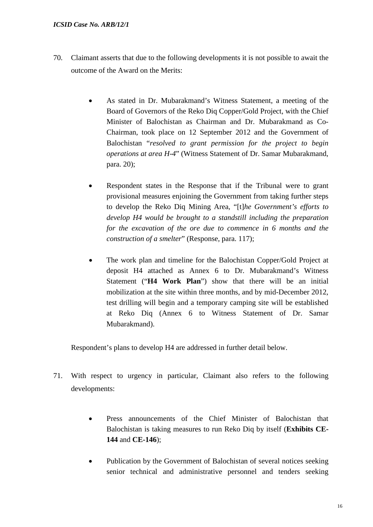#### *ICSID Case No. ARB/12/1*

- 70. Claimant asserts that due to the following developments it is not possible to await the outcome of the Award on the Merits:
	- As stated in Dr. Mubarakmand's Witness Statement, a meeting of the Board of Governors of the Reko Diq Copper/Gold Project, with the Chief Minister of Balochistan as Chairman and Dr. Mubarakmand as Co-Chairman, took place on 12 September 2012 and the Government of Balochistan "*resolved to grant permission for the project to begin operations at area H-4*" (Witness Statement of Dr. Samar Mubarakmand, para. 20);
	- Respondent states in the Response that if the Tribunal were to grant provisional measures enjoining the Government from taking further steps to develop the Reko Diq Mining Area, "[t]*he Government's efforts to develop H4 would be brought to a standstill including the preparation for the excavation of the ore due to commence in 6 months and the construction of a smelter*" (Response, para. 117);
	- The work plan and timeline for the Balochistan Copper/Gold Project at deposit H4 attached as Annex 6 to Dr. Mubarakmand's Witness Statement ("**H4 Work Plan**") show that there will be an initial mobilization at the site within three months, and by mid-December 2012, test drilling will begin and a temporary camping site will be established at Reko Diq (Annex 6 to Witness Statement of Dr. Samar Mubarakmand).

Respondent's plans to develop H4 are addressed in further detail below.

- 71. With respect to urgency in particular, Claimant also refers to the following developments:
	- Press announcements of the Chief Minister of Balochistan that Balochistan is taking measures to run Reko Diq by itself (**Exhibits CE-144** and **CE-146**);
	- Publication by the Government of Balochistan of several notices seeking senior technical and administrative personnel and tenders seeking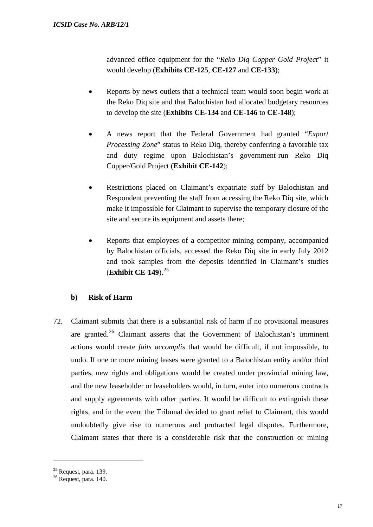advanced office equipment for the "*Reko Diq Copper Gold Project*" it would develop (**Exhibits CE-125**, **CE-127** and **CE-133**);

- Reports by news outlets that a technical team would soon begin work at the Reko Diq site and that Balochistan had allocated budgetary resources to develop the site (**Exhibits CE-134** and **CE-146** to **CE-148**);
- A news report that the Federal Government had granted "*Export Processing Zone*" status to Reko Diq, thereby conferring a favorable tax and duty regime upon Balochistan's government-run Reko Diq Copper/Gold Project (**Exhibit CE-142**);
- Restrictions placed on Claimant's expatriate staff by Balochistan and Respondent preventing the staff from accessing the Reko Diq site, which make it impossible for Claimant to supervise the temporary closure of the site and secure its equipment and assets there;
- Reports that employees of a competitor mining company, accompanied by Balochistan officials, accessed the Reko Diq site in early July 2012 and took samples from the deposits identified in Claimant's studies (**Exhibit CE-149**).[25](#page-18-0)

## **b) Risk of Harm**

72. Claimant submits that there is a substantial risk of harm if no provisional measures are granted.<sup>[26](#page-18-1)</sup> Claimant asserts that the Government of Balochistan's imminent actions would create *faits accomplis* that would be difficult, if not impossible, to undo. If one or more mining leases were granted to a Balochistan entity and/or third parties, new rights and obligations would be created under provincial mining law, and the new leaseholder or leaseholders would, in turn, enter into numerous contracts and supply agreements with other parties. It would be difficult to extinguish these rights, and in the event the Tribunal decided to grant relief to Claimant, this would undoubtedly give rise to numerous and protracted legal disputes. Furthermore, Claimant states that there is a considerable risk that the construction or mining

<span id="page-18-1"></span><span id="page-18-0"></span> $^{25}$  Request, para. 139.<br> $^{26}$  Request, para. 140.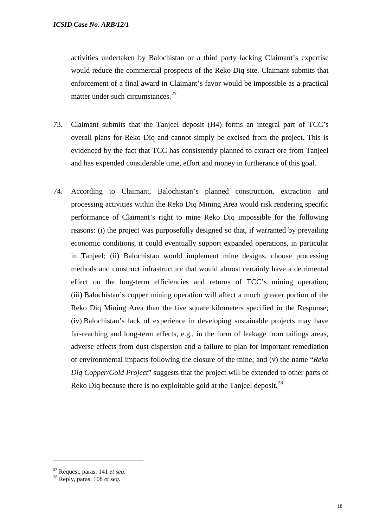activities undertaken by Balochistan or a third party lacking Claimant's expertise would reduce the commercial prospects of the Reko Diq site. Claimant submits that enforcement of a final award in Claimant's favor would be impossible as a practical matter under such circumstances.<sup>[27](#page-19-0)</sup>

- 73. Claimant submits that the Tanjeel deposit (H4) forms an integral part of TCC's overall plans for Reko Diq and cannot simply be excised from the project. This is evidenced by the fact that TCC has consistently planned to extract ore from Tanjeel and has expended considerable time, effort and money in furtherance of this goal.
- 74. According to Claimant, Balochistan's planned construction, extraction and processing activities within the Reko Diq Mining Area would risk rendering specific performance of Claimant's right to mine Reko Diq impossible for the following reasons: (i) the project was purposefully designed so that, if warranted by prevailing economic conditions, it could eventually support expanded operations, in particular in Tanjeel; (ii) Balochistan would implement mine designs, choose processing methods and construct infrastructure that would almost certainly have a detrimental effect on the long-term efficiencies and returns of TCC's mining operation; (iii) Balochistan's copper mining operation will affect a much greater portion of the Reko Diq Mining Area than the five square kilometers specified in the Response; (iv) Balochistan's lack of experience in developing sustainable projects may have far-reaching and long-term effects, e.g., in the form of leakage from tailings areas, adverse effects from dust dispersion and a failure to plan for important remediation of environmental impacts following the closure of the mine; and (v) the name "*Reko Diq Copper/Gold Project*" suggests that the project will be extended to other parts of Reko Diq because there is no exploitable gold at the Tanjeel deposit.<sup>28</sup>

<span id="page-19-1"></span><span id="page-19-0"></span><sup>27</sup> Request, paras. 141 *et seq.* <sup>28</sup> Reply, paras. 108 *et seq*.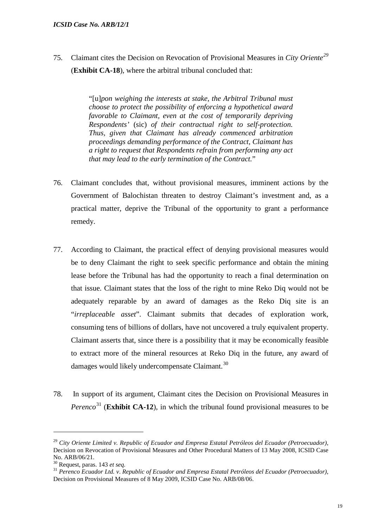75. Claimant cites the Decision on Revocation of Provisional Measures in *City Oriente[29](#page-20-0)* (**Exhibit CA-18**), where the arbitral tribunal concluded that:

> "[u]*pon weighing the interests at stake, the Arbitral Tribunal must choose to protect the possibility of enforcing a hypothetical award favorable to Claimant, even at the cost of temporarily depriving Respondents'* (sic) *of their contractual right to self-protection. Thus, given that Claimant has already commenced arbitration proceedings demanding performance of the Contract, Claimant has a right to request that Respondents refrain from performing any act that may lead to the early termination of the Contract.*"

- 76. Claimant concludes that, without provisional measures, imminent actions by the Government of Balochistan threaten to destroy Claimant's investment and, as a practical matter, deprive the Tribunal of the opportunity to grant a performance remedy.
- 77. According to Claimant, the practical effect of denying provisional measures would be to deny Claimant the right to seek specific performance and obtain the mining lease before the Tribunal has had the opportunity to reach a final determination on that issue. Claimant states that the loss of the right to mine Reko Diq would not be adequately reparable by an award of damages as the Reko Diq site is an "*irreplaceable asset*". Claimant submits that decades of exploration work, consuming tens of billions of dollars, have not uncovered a truly equivalent property. Claimant asserts that, since there is a possibility that it may be economically feasible to extract more of the mineral resources at Reko Diq in the future, any award of damages would likely undercompensate Claimant.<sup>[30](#page-20-1)</sup>
- 78. In support of its argument, Claimant cites the Decision on Provisional Measures in *Perenco*<sup>[31](#page-20-2)</sup> (**Exhibit CA-12**), in which the tribunal found provisional measures to be

<span id="page-20-0"></span><sup>29</sup> *City Oriente Limited v. Republic of Ecuador and Empresa Estatal Petróleos del Ecuador (Petroecuador)*, Decision on Revocation of Provisional Measures and Other Procedural Matters of 13 May 2008, ICSID Case No. ARB/06/21.<br><sup>30</sup> Request, paras. 143 *et seq.* 

<span id="page-20-1"></span>

<span id="page-20-2"></span><sup>&</sup>lt;sup>31</sup> Perenco Ecuador Ltd. v. Republic of Ecuador and Empresa Estatal Petróleos del Ecuador (Petroecuador), Decision on Provisional Measures of 8 May 2009, ICSID Case No. ARB/08/06.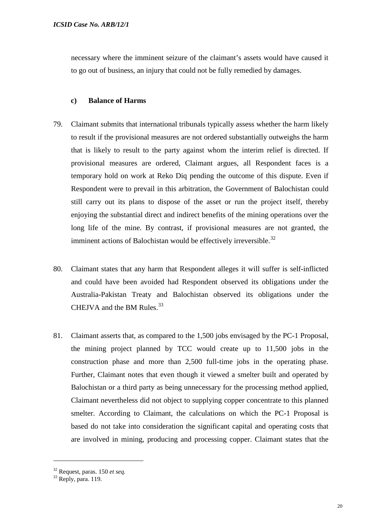necessary where the imminent seizure of the claimant's assets would have caused it to go out of business, an injury that could not be fully remedied by damages.

## **c) Balance of Harms**

- 79. Claimant submits that international tribunals typically assess whether the harm likely to result if the provisional measures are not ordered substantially outweighs the harm that is likely to result to the party against whom the interim relief is directed. If provisional measures are ordered, Claimant argues, all Respondent faces is a temporary hold on work at Reko Diq pending the outcome of this dispute. Even if Respondent were to prevail in this arbitration, the Government of Balochistan could still carry out its plans to dispose of the asset or run the project itself, thereby enjoying the substantial direct and indirect benefits of the mining operations over the long life of the mine. By contrast, if provisional measures are not granted, the imminent actions of Balochistan would be effectively irreversible.<sup>[32](#page-21-0)</sup>
- 80. Claimant states that any harm that Respondent alleges it will suffer is self-inflicted and could have been avoided had Respondent observed its obligations under the Australia-Pakistan Treaty and Balochistan observed its obligations under the CHEJVA and the BM Rules. $^{33}$  $^{33}$  $^{33}$
- 81. Claimant asserts that, as compared to the 1,500 jobs envisaged by the PC-1 Proposal, the mining project planned by TCC would create up to 11,500 jobs in the construction phase and more than 2,500 full-time jobs in the operating phase. Further, Claimant notes that even though it viewed a smelter built and operated by Balochistan or a third party as being unnecessary for the processing method applied, Claimant nevertheless did not object to supplying copper concentrate to this planned smelter. According to Claimant, the calculations on which the PC-1 Proposal is based do not take into consideration the significant capital and operating costs that are involved in mining, producing and processing copper. Claimant states that the

<span id="page-21-1"></span><span id="page-21-0"></span><sup>32</sup> Request, paras. 150 *et seq.* <sup>33</sup> Reply, para. 119.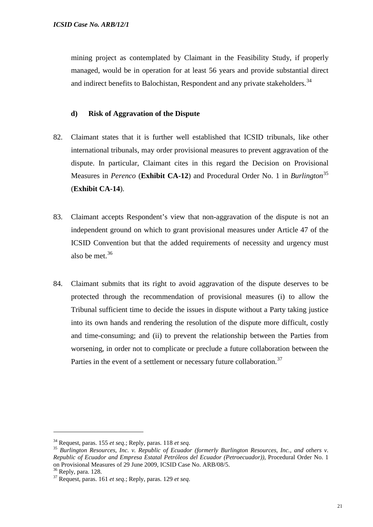mining project as contemplated by Claimant in the Feasibility Study, if properly managed, would be in operation for at least 56 years and provide substantial direct and indirect benefits to Balochistan, Respondent and any private stakeholders.<sup>[34](#page-22-0)</sup>

## **d) Risk of Aggravation of the Dispute**

- 82. Claimant states that it is further well established that ICSID tribunals, like other international tribunals, may order provisional measures to prevent aggravation of the dispute. In particular, Claimant cites in this regard the Decision on Provisional Measures in *Perenco* (**Exhibit CA-12**) and Procedural Order No. 1 in *Burlington*[35](#page-22-1) (**Exhibit CA-14**).
- 83. Claimant accepts Respondent's view that non-aggravation of the dispute is not an independent ground on which to grant provisional measures under Article 47 of the ICSID Convention but that the added requirements of necessity and urgency must also be met. $36$
- 84. Claimant submits that its right to avoid aggravation of the dispute deserves to be protected through the recommendation of provisional measures (i) to allow the Tribunal sufficient time to decide the issues in dispute without a Party taking justice into its own hands and rendering the resolution of the dispute more difficult, costly and time-consuming; and (ii) to prevent the relationship between the Parties from worsening, in order not to complicate or preclude a future collaboration between the Parties in the event of a settlement or necessary future collaboration.<sup>[37](#page-22-3)</sup>

<span id="page-22-1"></span><span id="page-22-0"></span><sup>&</sup>lt;sup>34</sup> Request, paras. 155 *et seq.*; Reply, paras. 118 *et seq. formerly Burlington Resources, Inc., and others v. Burlington Resources, Inc., and others v. Republic of Ecuador and Empresa Estatal Petróleos del Ecuador (Petroecuador))*, Procedural Order No. 1

<span id="page-22-3"></span><span id="page-22-2"></span>

<sup>&</sup>lt;sup>36</sup> Reply, para. 128.<br><sup>37</sup> Request, paras. 161 *et seq.*; Reply, paras. 129 *et seq.*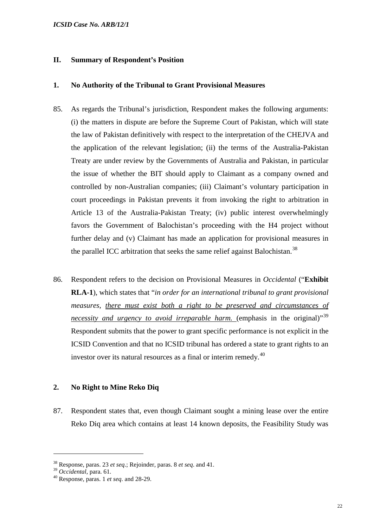## **II. Summary of Respondent's Position**

#### **1. No Authority of the Tribunal to Grant Provisional Measures**

- 85. As regards the Tribunal's jurisdiction, Respondent makes the following arguments: (i) the matters in dispute are before the Supreme Court of Pakistan, which will state the law of Pakistan definitively with respect to the interpretation of the CHEJVA and the application of the relevant legislation; (ii) the terms of the Australia-Pakistan Treaty are under review by the Governments of Australia and Pakistan, in particular the issue of whether the BIT should apply to Claimant as a company owned and controlled by non-Australian companies; (iii) Claimant's voluntary participation in court proceedings in Pakistan prevents it from invoking the right to arbitration in Article 13 of the Australia-Pakistan Treaty; (iv) public interest overwhelmingly favors the Government of Balochistan's proceeding with the H4 project without further delay and (v) Claimant has made an application for provisional measures in the parallel ICC arbitration that seeks the same relief against Balochistan.<sup>[38](#page-23-0)</sup>
- 86. Respondent refers to the decision on Provisional Measures in *Occidental* ("**Exhibit RLA-1**), which states that "*in order for an international tribunal to grant provisional measures, there must exist both a right to be preserved and circumstances of necessity and urgency to avoid irreparable harm.* (emphasis in the original)<sup>[39](#page-23-1)</sup> Respondent submits that the power to grant specific performance is not explicit in the ICSID Convention and that no ICSID tribunal has ordered a state to grant rights to an investor over its natural resources as a final or interim remedy.<sup>[40](#page-23-2)</sup>

## **2. No Right to Mine Reko Diq**

87. Respondent states that, even though Claimant sought a mining lease over the entire Reko Diq area which contains at least 14 known deposits, the Feasibility Study was

<span id="page-23-0"></span><sup>38</sup> Response, paras. 23 *et seq*.; Rejoinder, paras. 8 *et seq*. and 41.

<span id="page-23-2"></span><span id="page-23-1"></span><sup>&</sup>lt;sup>40</sup> Response, paras. 1 *et seq.* and 28-29.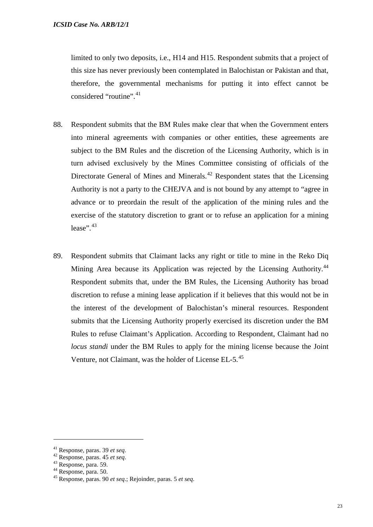limited to only two deposits, i.e., H14 and H15. Respondent submits that a project of this size has never previously been contemplated in Balochistan or Pakistan and that, therefore, the governmental mechanisms for putting it into effect cannot be considered "routine".<sup>[41](#page-24-0)</sup>

- 88. Respondent submits that the BM Rules make clear that when the Government enters into mineral agreements with companies or other entities, these agreements are subject to the BM Rules and the discretion of the Licensing Authority, which is in turn advised exclusively by the Mines Committee consisting of officials of the Directorate General of Mines and Minerals.<sup>[42](#page-24-1)</sup> Respondent states that the Licensing Authority is not a party to the CHEJVA and is not bound by any attempt to "agree in advance or to preordain the result of the application of the mining rules and the exercise of the statutory discretion to grant or to refuse an application for a mining lease". $43$
- 89. Respondent submits that Claimant lacks any right or title to mine in the Reko Diq Mining Area because its Application was rejected by the Licensing Authority.<sup>[44](#page-24-3)</sup> Respondent submits that, under the BM Rules, the Licensing Authority has broad discretion to refuse a mining lease application if it believes that this would not be in the interest of the development of Balochistan's mineral resources. Respondent submits that the Licensing Authority properly exercised its discretion under the BM Rules to refuse Claimant's Application. According to Respondent, Claimant had no *locus standi* under the BM Rules to apply for the mining license because the Joint Venture, not Claimant, was the holder of License EL-5.<sup>[45](#page-24-4)</sup>

<span id="page-24-2"></span>

<span id="page-24-4"></span><span id="page-24-3"></span>

<span id="page-24-1"></span><span id="page-24-0"></span><sup>41</sup> Response, paras. 39 *et seq*. <sup>42</sup> Response, paras. 45 *et seq*. <sup>43</sup> Response, para. 59. <sup>44</sup> Response, para. 50. <sup>45</sup> Response, paras. 90 *et seq*.; Rejoinder, paras. 5 *et seq*.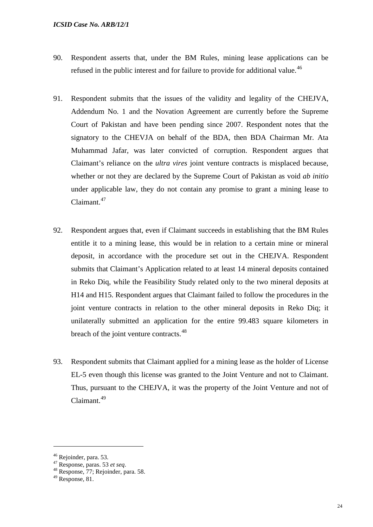- 90. Respondent asserts that, under the BM Rules, mining lease applications can be refused in the public interest and for failure to provide for additional value.<sup>[46](#page-25-0)</sup>
- 91. Respondent submits that the issues of the validity and legality of the CHEJVA, Addendum No. 1 and the Novation Agreement are currently before the Supreme Court of Pakistan and have been pending since 2007. Respondent notes that the signatory to the CHEVJA on behalf of the BDA, then BDA Chairman Mr. Ata Muhammad Jafar, was later convicted of corruption. Respondent argues that Claimant's reliance on the *ultra vires* joint venture contracts is misplaced because, whether or not they are declared by the Supreme Court of Pakistan as void *ab initio* under applicable law, they do not contain any promise to grant a mining lease to Claimant.<sup>[47](#page-25-1)</sup>
- 92. Respondent argues that, even if Claimant succeeds in establishing that the BM Rules entitle it to a mining lease, this would be in relation to a certain mine or mineral deposit, in accordance with the procedure set out in the CHEJVA. Respondent submits that Claimant's Application related to at least 14 mineral deposits contained in Reko Diq, while the Feasibility Study related only to the two mineral deposits at H14 and H15. Respondent argues that Claimant failed to follow the procedures in the joint venture contracts in relation to the other mineral deposits in Reko Diq; it unilaterally submitted an application for the entire 99.483 square kilometers in breach of the joint venture contracts.<sup>[48](#page-25-2)</sup>
- 93. Respondent submits that Claimant applied for a mining lease as the holder of License EL-5 even though this license was granted to the Joint Venture and not to Claimant. Thus, pursuant to the CHEJVA, it was the property of the Joint Venture and not of Claimant.<sup>[49](#page-25-3)</sup>

<span id="page-25-1"></span><span id="page-25-0"></span><sup>46</sup> Rejoinder, para. 53. <sup>47</sup> Response, paras. 53 *et seq*. <sup>48</sup> Response, 77; Rejoinder, para. 58.

<span id="page-25-3"></span><span id="page-25-2"></span><sup>49</sup> Response, 81.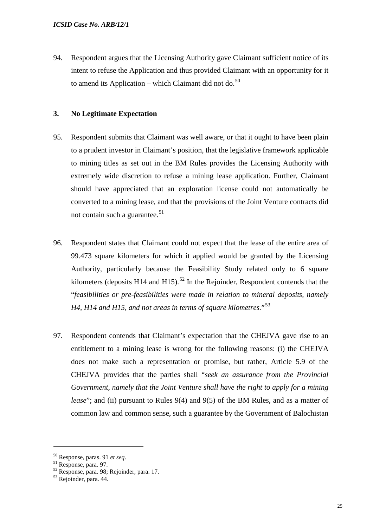94. Respondent argues that the Licensing Authority gave Claimant sufficient notice of its intent to refuse the Application and thus provided Claimant with an opportunity for it to amend its Application – which Claimant did not do. $^{50}$  $^{50}$  $^{50}$ 

## **3. No Legitimate Expectation**

- 95. Respondent submits that Claimant was well aware, or that it ought to have been plain to a prudent investor in Claimant's position, that the legislative framework applicable to mining titles as set out in the BM Rules provides the Licensing Authority with extremely wide discretion to refuse a mining lease application. Further, Claimant should have appreciated that an exploration license could not automatically be converted to a mining lease, and that the provisions of the Joint Venture contracts did not contain such a guarantee.<sup>[51](#page-26-1)</sup>
- 96. Respondent states that Claimant could not expect that the lease of the entire area of 99.473 square kilometers for which it applied would be granted by the Licensing Authority, particularly because the Feasibility Study related only to 6 square kilometers (deposits H14 and H15).<sup>[52](#page-26-2)</sup> In the Rejoinder, Respondent contends that the "*feasibilities or pre-feasibilities were made in relation to mineral deposits, namely H4, H14 and H15, and not areas in terms of square kilometres.*"[53](#page-26-3)
- 97. Respondent contends that Claimant's expectation that the CHEJVA gave rise to an entitlement to a mining lease is wrong for the following reasons: (i) the CHEJVA does not make such a representation or promise, but rather, Article 5.9 of the CHEJVA provides that the parties shall "*seek an assurance from the Provincial Government, namely that the Joint Venture shall have the right to apply for a mining lease*"; and (ii) pursuant to Rules 9(4) and 9(5) of the BM Rules, and as a matter of common law and common sense, such a guarantee by the Government of Balochistan

<span id="page-26-2"></span><span id="page-26-1"></span>

<span id="page-26-0"></span><sup>&</sup>lt;sup>50</sup> Response, paras. 91 *et seq.*<br><sup>51</sup> Response, para. 97.<br><sup>52</sup> Response, para. 98; Rejoinder, para. 17.<br><sup>53</sup> Rejoinder, para. 44.

<span id="page-26-3"></span>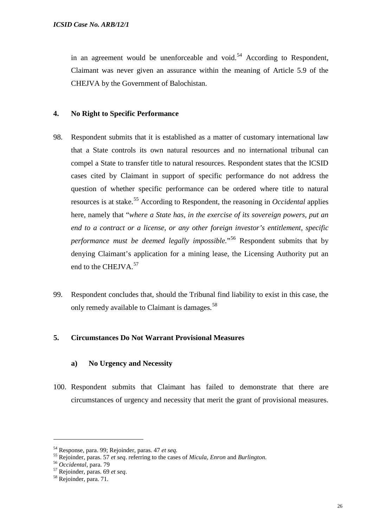in an agreement would be unenforceable and void.<sup>[54](#page-27-0)</sup> According to Respondent, Claimant was never given an assurance within the meaning of Article 5.9 of the CHEJVA by the Government of Balochistan.

## **4. No Right to Specific Performance**

- 98. Respondent submits that it is established as a matter of customary international law that a State controls its own natural resources and no international tribunal can compel a State to transfer title to natural resources. Respondent states that the ICSID cases cited by Claimant in support of specific performance do not address the question of whether specific performance can be ordered where title to natural resources is at stake.<sup>[55](#page-27-1)</sup> According to Respondent, the reasoning in *Occidental* applies here, namely that "*where a State has, in the exercise of its sovereign powers, put an end to a contract or a license, or any other foreign investor's entitlement, specific performance must be deemed legally impossible.*"[56](#page-27-2) Respondent submits that by denying Claimant's application for a mining lease, the Licensing Authority put an end to the CHEJVA.<sup>[57](#page-27-3)</sup>
- 99. Respondent concludes that, should the Tribunal find liability to exist in this case, the only remedy available to Claimant is damages.<sup>[58](#page-27-4)</sup>

## **5. Circumstances Do Not Warrant Provisional Measures**

#### **a) No Urgency and Necessity**

100. Respondent submits that Claimant has failed to demonstrate that there are circumstances of urgency and necessity that merit the grant of provisional measures.

<span id="page-27-0"></span><sup>&</sup>lt;sup>54</sup> Response, para. 99; Rejoinder, paras. 47 *et seq.*<br>
<sup>55</sup> Rejoinder, paras. 57 *et seq.* referring to the cases of *Micula*, *Enron* and *Burlington*.<br>
<sup>56</sup> Occidental, para. 79<br>
<sup>57</sup> Rejoinder, paras. 69 *et seq.*<br>
<sup></sup>

<span id="page-27-2"></span><span id="page-27-1"></span>

<span id="page-27-3"></span>

<span id="page-27-4"></span>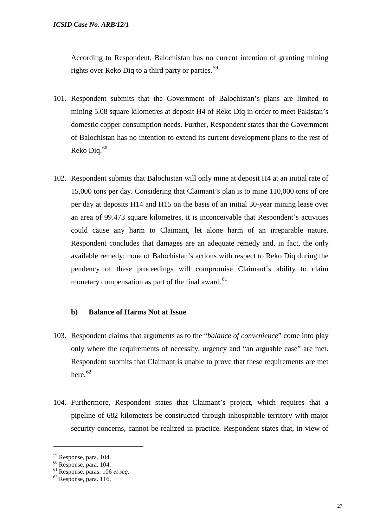According to Respondent, Balochistan has no current intention of granting mining rights over Reko Diq to a third party or parties.<sup>[59](#page-28-0)</sup>

- 101. Respondent submits that the Government of Balochistan's plans are limited to mining 5.08 square kilometres at deposit H4 of Reko Diq in order to meet Pakistan's domestic copper consumption needs. Further, Respondent states that the Government of Balochistan has no intention to extend its current development plans to the rest of Reko Diq. $60$
- 102. Respondent submits that Balochistan will only mine at deposit H4 at an initial rate of 15,000 tons per day. Considering that Claimant's plan is to mine 110,000 tons of ore per day at deposits H14 and H15 on the basis of an initial 30-year mining lease over an area of 99.473 square kilometres, it is inconceivable that Respondent's activities could cause any harm to Claimant, let alone harm of an irreparable nature. Respondent concludes that damages are an adequate remedy and, in fact, the only available remedy; none of Balochistan's actions with respect to Reko Diq during the pendency of these proceedings will compromise Claimant's ability to claim monetary compensation as part of the final award.<sup>[61](#page-28-2)</sup>

## **b) Balance of Harms Not at Issue**

- 103. Respondent claims that arguments as to the "*balance of convenience*" come into play only where the requirements of necessity, urgency and "an arguable case" are met. Respondent submits that Claimant is unable to prove that these requirements are met here.<sup>[62](#page-28-3)</sup>
- 104. Furthermore, Respondent states that Claimant's project, which requires that a pipeline of 682 kilometers be constructed through inhospitable territory with major security concerns, cannot be realized in practice. Respondent states that, in view of

<span id="page-28-2"></span>

<span id="page-28-1"></span><span id="page-28-0"></span><sup>59</sup> Response, para. 104. <sup>60</sup> Response, para. 104. <sup>61</sup> Response, paras. 106 *et seq*. <sup>62</sup> Response, para. 116.

<span id="page-28-3"></span>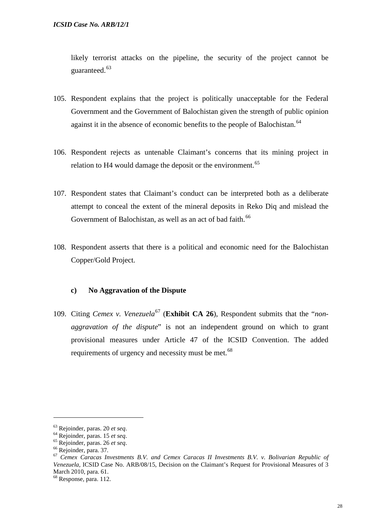likely terrorist attacks on the pipeline, the security of the project cannot be guaranteed.<sup>[63](#page-29-0)</sup>

- 105. Respondent explains that the project is politically unacceptable for the Federal Government and the Government of Balochistan given the strength of public opinion against it in the absence of economic benefits to the people of Balochistan.<sup>[64](#page-29-1)</sup>
- 106. Respondent rejects as untenable Claimant's concerns that its mining project in relation to H4 would damage the deposit or the environment.<sup>[65](#page-29-2)</sup>
- 107. Respondent states that Claimant's conduct can be interpreted both as a deliberate attempt to conceal the extent of the mineral deposits in Reko Diq and mislead the Government of Balochistan, as well as an act of bad faith.<sup>[66](#page-29-3)</sup>
- 108. Respondent asserts that there is a political and economic need for the Balochistan Copper/Gold Project.

## **c) No Aggravation of the Dispute**

109. Citing *Cemex v. Venezuela*<sup>[67](#page-29-4)</sup> (**Exhibit CA 26**), Respondent submits that the "*nonaggravation of the dispute*" is not an independent ground on which to grant provisional measures under Article 47 of the ICSID Convention. The added requirements of urgency and necessity must be met.<sup>[68](#page-29-5)</sup>

<span id="page-29-2"></span>

<span id="page-29-4"></span><span id="page-29-3"></span>

<span id="page-29-1"></span><span id="page-29-0"></span><sup>&</sup>lt;sup>63</sup> Rejoinder, paras. 20 *et seq.*<br>
<sup>64</sup> Rejoinder, paras. 15 *et seq.*<br>
<sup>65</sup> Rejoinder, paras. 26 *et seq.*<br>
<sup>66</sup> Rejoinder, para. 37.<br>
<sup>66</sup> Cemex Caracas Investments B.V. and Cemex Caracas II Investments B.V. v. Boliva *Venezuela*, ICSID Case No. ARB/08/15, Decision on the Claimant's Request for Provisional Measures of 3 March 2010, para. 61.

<span id="page-29-5"></span> $68$  Response, para. 112.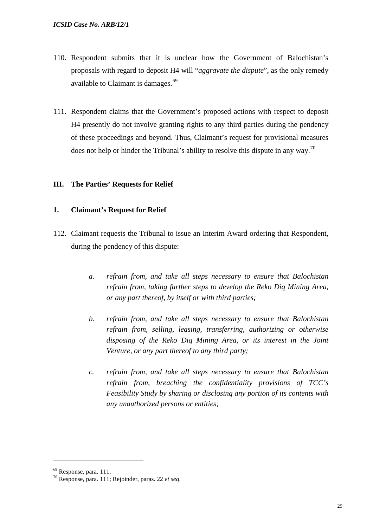- 110. Respondent submits that it is unclear how the Government of Balochistan's proposals with regard to deposit H4 will "*aggravate the dispute*", as the only remedy available to Claimant is damages.<sup>[69](#page-30-0)</sup>
- 111. Respondent claims that the Government's proposed actions with respect to deposit H4 presently do not involve granting rights to any third parties during the pendency of these proceedings and beyond. Thus, Claimant's request for provisional measures does not help or hinder the Tribunal's ability to resolve this dispute in any way.<sup>[70](#page-30-1)</sup>

## **III. The Parties' Requests for Relief**

## **1. Claimant's Request for Relief**

- 112. Claimant requests the Tribunal to issue an Interim Award ordering that Respondent, during the pendency of this dispute:
	- *a. refrain from, and take all steps necessary to ensure that Balochistan refrain from, taking further steps to develop the Reko Diq Mining Area, or any part thereof, by itself or with third parties;*
	- *b. refrain from, and take all steps necessary to ensure that Balochistan refrain from, selling, leasing, transferring, authorizing or otherwise disposing of the Reko Diq Mining Area, or its interest in the Joint Venture, or any part thereof to any third party;*
	- *c. refrain from, and take all steps necessary to ensure that Balochistan refrain from, breaching the confidentiality provisions of TCC's Feasibility Study by sharing or disclosing any portion of its contents with any unauthorized persons or entities;*

<span id="page-30-1"></span>

<span id="page-30-0"></span><sup>69</sup> Response, para. 111. <sup>70</sup> Response, para. 111; Rejoinder, paras. 22 *et seq*.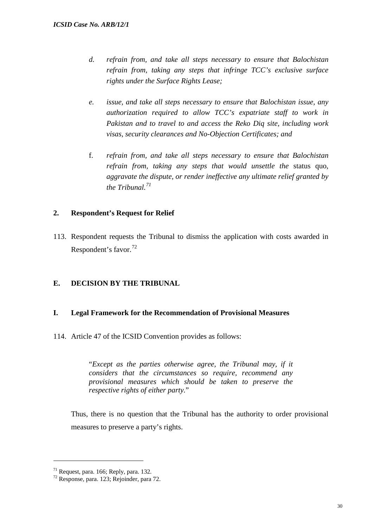- *d. refrain from, and take all steps necessary to ensure that Balochistan refrain from, taking any steps that infringe TCC's exclusive surface rights under the Surface Rights Lease;*
- *e. issue, and take all steps necessary to ensure that Balochistan issue, any authorization required to allow TCC's expatriate staff to work in Pakistan and to travel to and access the Reko Diq site, including work visas, security clearances and No-Objection Certificates; and*
- f. *refrain from, and take all steps necessary to ensure that Balochistan refrain from, taking any steps that would unsettle the* status quo*, aggravate the dispute, or render ineffective any ultimate relief granted by the Tribunal.[71](#page-31-0)*

## **2. Respondent's Request for Relief**

113. Respondent requests the Tribunal to dismiss the application with costs awarded in Respondent's favor.<sup>[72](#page-31-1)</sup>

## **E. DECISION BY THE TRIBUNAL**

## **I. Legal Framework for the Recommendation of Provisional Measures**

114. Article 47 of the ICSID Convention provides as follows:

"*Except as the parties otherwise agree, the Tribunal may, if it considers that the circumstances so require, recommend any provisional measures which should be taken to preserve the respective rights of either party.*"

Thus, there is no question that the Tribunal has the authority to order provisional measures to preserve a party's rights.

<span id="page-31-0"></span><sup>71</sup> Request, para. 166; Reply*,* para. 132*.* <sup>72</sup> Response, para. 123; Rejoinder, para 72.

<span id="page-31-1"></span>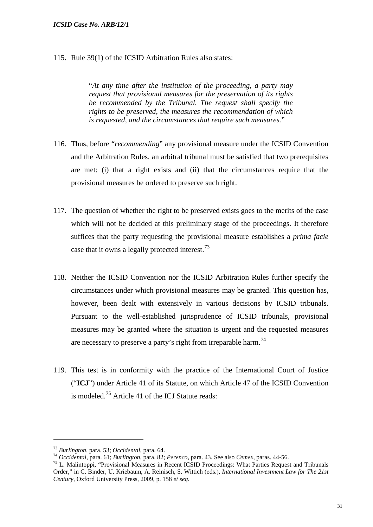115. Rule 39(1) of the ICSID Arbitration Rules also states:

"*At any time after the institution of the proceeding, a party may request that provisional measures for the preservation of its rights be recommended by the Tribunal. The request shall specify the rights to be preserved, the measures the recommendation of which is requested, and the circumstances that require such measures.*"

- 116. Thus, before "*recommending*" any provisional measure under the ICSID Convention and the Arbitration Rules, an arbitral tribunal must be satisfied that two prerequisites are met: (i) that a right exists and (ii) that the circumstances require that the provisional measures be ordered to preserve such right.
- 117. The question of whether the right to be preserved exists goes to the merits of the case which will not be decided at this preliminary stage of the proceedings. It therefore suffices that the party requesting the provisional measure establishes a *prima facie* case that it owns a legally protected interest.<sup>[73](#page-32-0)</sup>
- 118. Neither the ICSID Convention nor the ICSID Arbitration Rules further specify the circumstances under which provisional measures may be granted. This question has, however, been dealt with extensively in various decisions by ICSID tribunals. Pursuant to the well-established jurisprudence of ICSID tribunals, provisional measures may be granted where the situation is urgent and the requested measures are necessary to preserve a party's right from irreparable harm.<sup>[74](#page-32-1)</sup>
- 119. This test is in conformity with the practice of the International Court of Justice ("**ICJ**") under Article 41 of its Statute, on which Article 47 of the ICSID Convention is modeled.<sup>[75](#page-32-2)</sup> Article 41 of the ICJ Statute reads:

<span id="page-32-2"></span>

<span id="page-32-1"></span><span id="page-32-0"></span><sup>&</sup>lt;sup>73</sup> Burlington, para. 53; Occidental, para. 64.<br><sup>74</sup> Occidental, para. 61; Burlington, para. 82; Perenco, para. 43. See also Cemex, paras. 44-56.<br><sup>75</sup> L. Malintoppi, "Provisional Measures in Recent ICSID Proceedings: Wha Order," in C. Binder, U. Kriebaum, A. Reinisch, S. Wittich (eds.), *International Investment Law for The 21st Century*, Oxford University Press, 2009, p. 158 *et seq*.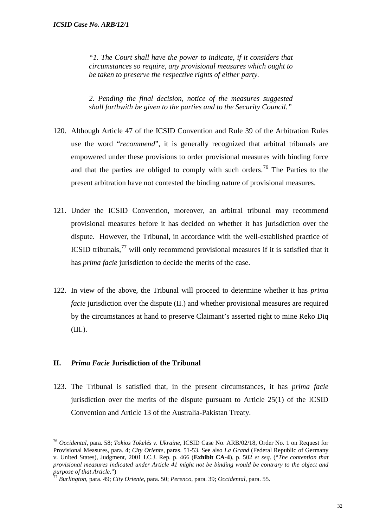*"1. The Court shall have the power to indicate, if it considers that circumstances so require, any provisional measures which ought to be taken to preserve the respective rights of either party.* 

*2. Pending the final decision, notice of the measures suggested shall forthwith be given to the parties and to the Security Council."*

- 120. Although Article 47 of the ICSID Convention and Rule 39 of the Arbitration Rules use the word "*recommend*", it is generally recognized that arbitral tribunals are empowered under these provisions to order provisional measures with binding force and that the parties are obliged to comply with such orders.<sup>[76](#page-33-0)</sup> The Parties to the present arbitration have not contested the binding nature of provisional measures.
- 121. Under the ICSID Convention, moreover, an arbitral tribunal may recommend provisional measures before it has decided on whether it has jurisdiction over the dispute. However, the Tribunal, in accordance with the well-established practice of ICSID tribunals, $^{77}$  $^{77}$  $^{77}$  will only recommend provisional measures if it is satisfied that it has *prima facie* jurisdiction to decide the merits of the case.
- 122. In view of the above, the Tribunal will proceed to determine whether it has *prima facie* jurisdiction over the dispute (II.) and whether provisional measures are required by the circumstances at hand to preserve Claimant's asserted right to mine Reko Diq (III.).

## **II.** *Prima Facie* **Jurisdiction of the Tribunal**

-

123. The Tribunal is satisfied that, in the present circumstances, it has *prima facie* jurisdiction over the merits of the dispute pursuant to Article 25(1) of the ICSID Convention and Article 13 of the Australia-Pakistan Treaty.

<span id="page-33-0"></span><sup>76</sup> *Occidental*, para. 58; *Tokios Tokelés v. Ukraine*, ICSID Case No. ARB/02/18, Order No. 1 on Request for Provisional Measures, para. 4; *City Oriente*, paras. 51-53. See also *La Grand* (Federal Republic of Germany v. United States), Judgment, 2001 I.C.J. Rep. p. 466 (**Exhibit CA-4**), p. 502 *et seq*. ("*The contention that provisional measures indicated under Article 41 might not be binding would be contrary to the object and* 

<span id="page-33-1"></span>*purpose of that Article.*") <sup>77</sup> *Burlington*, para. 49; *City Oriente*, para. 50; *Perenco*, para. 39; *Occidental*, para. 55.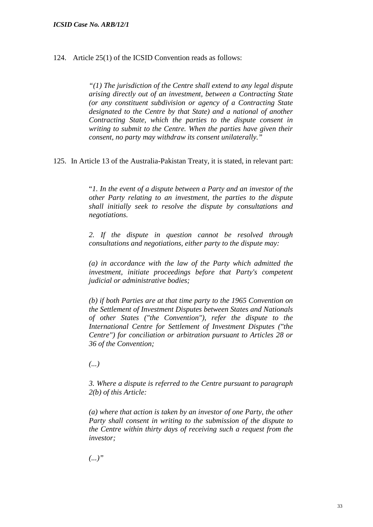124. Article 25(1) of the ICSID Convention reads as follows:

*"(1) The jurisdiction of the Centre shall extend to any legal dispute arising directly out of an investment, between a Contracting State (or any constituent subdivision or agency of a Contracting State designated to the Centre by that State) and a national of another Contracting State, which the parties to the dispute consent in writing to submit to the Centre. When the parties have given their consent, no party may withdraw its consent unilaterally."*

125. In Article 13 of the Australia-Pakistan Treaty, it is stated, in relevant part:

"*1. In the event of a dispute between a Party and an investor of the other Party relating to an investment, the parties to the dispute shall initially seek to resolve the dispute by consultations and negotiations.* 

*2. If the dispute in question cannot be resolved through consultations and negotiations, either party to the dispute may:* 

*(a) in accordance with the law of the Party which admitted the investment, initiate proceedings before that Party's competent judicial or administrative bodies;* 

*(b) if both Parties are at that time party to the 1965 Convention on the Settlement of Investment Disputes between States and Nationals of other States ("the Convention"), refer the dispute to the International Centre for Settlement of Investment Disputes ("the Centre") for conciliation or arbitration pursuant to Articles 28 or 36 of the Convention;*

*(...)*

*3. Where a dispute is referred to the Centre pursuant to paragraph 2(b) of this Article:* 

*(a) where that action is taken by an investor of one Party, the other Party shall consent in writing to the submission of the dispute to the Centre within thirty days of receiving such a request from the investor;* 

*(...)"*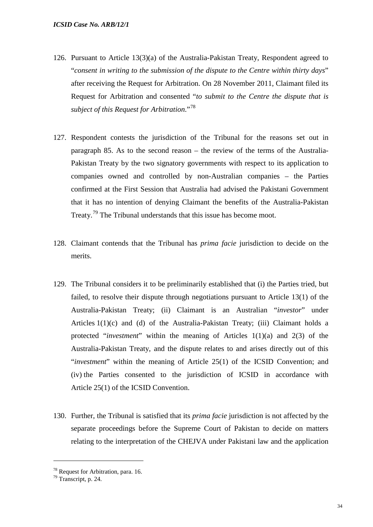- 126. Pursuant to Article 13(3)(a) of the Australia-Pakistan Treaty, Respondent agreed to "*consent in writing to the submission of the dispute to the Centre within thirty days*" after receiving the Request for Arbitration. On 28 November 2011, Claimant filed its Request for Arbitration and consented "*to submit to the Centre the dispute that is subject of this Request for Arbitration*."[78](#page-35-0)
- 127. Respondent contests the jurisdiction of the Tribunal for the reasons set out in paragraph 85. As to the second reason – the review of the terms of the Australia-Pakistan Treaty by the two signatory governments with respect to its application to companies owned and controlled by non-Australian companies – the Parties confirmed at the First Session that Australia had advised the Pakistani Government that it has no intention of denying Claimant the benefits of the Australia-Pakistan Treaty.<sup>[79](#page-35-1)</sup> The Tribunal understands that this issue has become moot.
- 128. Claimant contends that the Tribunal has *prima facie* jurisdiction to decide on the merits.
- 129. The Tribunal considers it to be preliminarily established that (i) the Parties tried, but failed, to resolve their dispute through negotiations pursuant to Article 13(1) of the Australia-Pakistan Treaty; (ii) Claimant is an Australian "*investor*" under Articles 1(1)(c) and (d) of the Australia-Pakistan Treaty; (iii) Claimant holds a protected "*investment*" within the meaning of Articles 1(1)(a) and 2(3) of the Australia-Pakistan Treaty, and the dispute relates to and arises directly out of this "*investment*" within the meaning of Article 25(1) of the ICSID Convention; and (iv) the Parties consented to the jurisdiction of ICSID in accordance with Article 25(1) of the ICSID Convention.
- 130. Further, the Tribunal is satisfied that its *prima facie* jurisdiction is not affected by the separate proceedings before the Supreme Court of Pakistan to decide on matters relating to the interpretation of the CHEJVA under Pakistani law and the application

<span id="page-35-1"></span><span id="page-35-0"></span><sup>&</sup>lt;sup>78</sup> Request for Arbitration, para. 16.<br><sup>79</sup> Transcript, p. 24.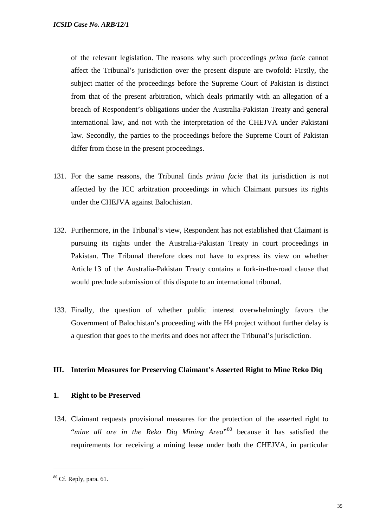of the relevant legislation. The reasons why such proceedings *prima facie* cannot affect the Tribunal's jurisdiction over the present dispute are twofold: Firstly, the subject matter of the proceedings before the Supreme Court of Pakistan is distinct from that of the present arbitration, which deals primarily with an allegation of a breach of Respondent's obligations under the Australia-Pakistan Treaty and general international law, and not with the interpretation of the CHEJVA under Pakistani law. Secondly, the parties to the proceedings before the Supreme Court of Pakistan differ from those in the present proceedings.

- 131. For the same reasons, the Tribunal finds *prima facie* that its jurisdiction is not affected by the ICC arbitration proceedings in which Claimant pursues its rights under the CHEJVA against Balochistan.
- 132. Furthermore, in the Tribunal's view, Respondent has not established that Claimant is pursuing its rights under the Australia-Pakistan Treaty in court proceedings in Pakistan. The Tribunal therefore does not have to express its view on whether Article 13 of the Australia-Pakistan Treaty contains a fork-in-the-road clause that would preclude submission of this dispute to an international tribunal.
- 133. Finally, the question of whether public interest overwhelmingly favors the Government of Balochistan's proceeding with the H4 project without further delay is a question that goes to the merits and does not affect the Tribunal's jurisdiction.

## **III. Interim Measures for Preserving Claimant's Asserted Right to Mine Reko Diq**

## **1. Right to be Preserved**

134. Claimant requests provisional measures for the protection of the asserted right to "*mine all ore in the Reko Diq Mining Area*"[80](#page-36-0) because it has satisfied the requirements for receiving a mining lease under both the CHEJVA, in particular

<span id="page-36-0"></span> $80$  Cf. Reply, para. 61.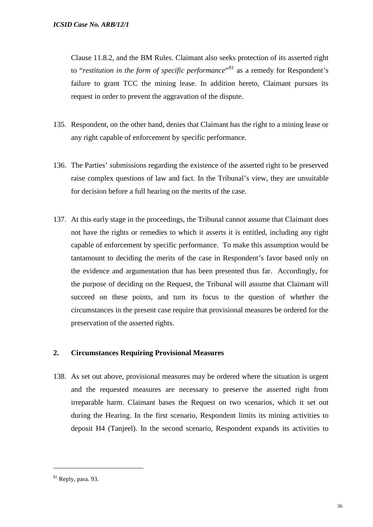Clause 11.8.2, and the BM Rules. Claimant also seeks protection of its asserted right to "*restitution in the form of specific performance*"<sup>[81](#page-37-0)</sup> as a remedy for Respondent's failure to grant TCC the mining lease. In addition hereto, Claimant pursues its request in order to prevent the aggravation of the dispute.

- 135. Respondent, on the other hand, denies that Claimant has the right to a mining lease or any right capable of enforcement by specific performance.
- 136. The Parties' submissions regarding the existence of the asserted right to be preserved raise complex questions of law and fact. In the Tribunal's view, they are unsuitable for decision before a full hearing on the merits of the case.
- 137. At this early stage in the proceedings, the Tribunal cannot assume that Claimant does not have the rights or remedies to which it asserts it is entitled, including any right capable of enforcement by specific performance. To make this assumption would be tantamount to deciding the merits of the case in Respondent's favor based only on the evidence and argumentation that has been presented thus far. Accordingly, for the purpose of deciding on the Request, the Tribunal will assume that Claimant will succeed on these points, and turn its focus to the question of whether the circumstances in the present case require that provisional measures be ordered for the preservation of the asserted rights.

## **2. Circumstances Requiring Provisional Measures**

138. As set out above, provisional measures may be ordered where the situation is urgent and the requested measures are necessary to preserve the asserted right from irreparable harm. Claimant bases the Request on two scenarios, which it set out during the Hearing. In the first scenario, Respondent limits its mining activities to deposit H4 (Tanjeel). In the second scenario, Respondent expands its activities to

<span id="page-37-0"></span> $81$  Reply, para. 93.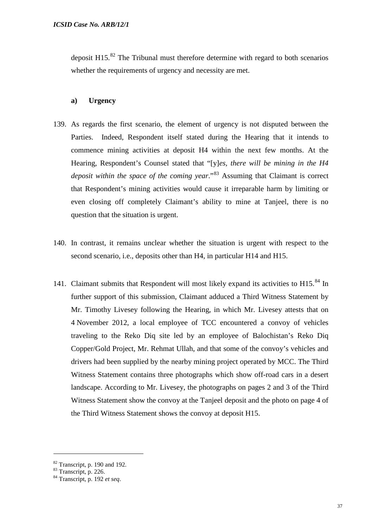deposit H15. $^{82}$  $^{82}$  $^{82}$  The Tribunal must therefore determine with regard to both scenarios whether the requirements of urgency and necessity are met.

#### **a) Urgency**

- 139. As regards the first scenario, the element of urgency is not disputed between the Parties. Indeed, Respondent itself stated during the Hearing that it intends to commence mining activities at deposit H4 within the next few months. At the Hearing, Respondent's Counsel stated that "[y]*es, there will be mining in the H4 deposit within the space of the coming year*."<sup>[83](#page-38-1)</sup> Assuming that Claimant is correct that Respondent's mining activities would cause it irreparable harm by limiting or even closing off completely Claimant's ability to mine at Tanjeel, there is no question that the situation is urgent.
- 140. In contrast, it remains unclear whether the situation is urgent with respect to the second scenario, i.e., deposits other than H4, in particular H14 and H15.
- 141. Claimant submits that Respondent will most likely expand its activities to  $H15$ <sup>[84](#page-38-2)</sup> In further support of this submission, Claimant adduced a Third Witness Statement by Mr. Timothy Livesey following the Hearing, in which Mr. Livesey attests that on 4 November 2012, a local employee of TCC encountered a convoy of vehicles traveling to the Reko Diq site led by an employee of Balochistan's Reko Diq Copper/Gold Project, Mr. Rehmat Ullah, and that some of the convoy's vehicles and drivers had been supplied by the nearby mining project operated by MCC. The Third Witness Statement contains three photographs which show off-road cars in a desert landscape. According to Mr. Livesey, the photographs on pages 2 and 3 of the Third Witness Statement show the convoy at the Tanjeel deposit and the photo on page 4 of the Third Witness Statement shows the convoy at deposit H15.

<span id="page-38-1"></span><span id="page-38-0"></span><sup>82</sup> Transcript, p. 190 and 192. <sup>83</sup> Transcript, p. 226. <sup>84</sup> Transcript, p. 192 *et seq*.

<span id="page-38-2"></span>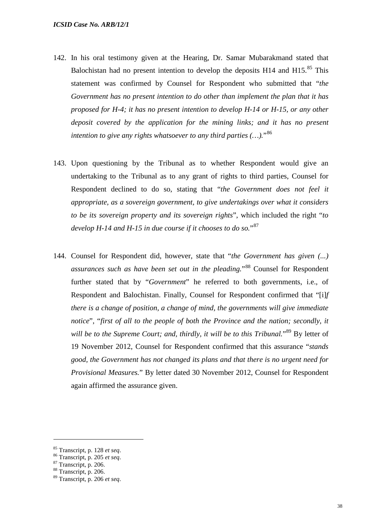- 142. In his oral testimony given at the Hearing, Dr. Samar Mubarakmand stated that Balochistan had no present intention to develop the deposits  $H14$  and  $H15$ <sup>[85](#page-39-0)</sup>. This statement was confirmed by Counsel for Respondent who submitted that "*the Government has no present intention to do other than implement the plan that it has proposed for H-4; it has no present intention to develop H-14 or H-15, or any other deposit covered by the application for the mining links; and it has no present intention to give any rights whatsoever to any third parties (…).*"[86](#page-39-1)
- 143. Upon questioning by the Tribunal as to whether Respondent would give an undertaking to the Tribunal as to any grant of rights to third parties, Counsel for Respondent declined to do so, stating that "*the Government does not feel it appropriate, as a sovereign government, to give undertakings over what it considers to be its sovereign property and its sovereign rights*", which included the right "*to develop H-14 and H-15 in due course if it chooses to do so.*"[87](#page-39-2)
- 144. Counsel for Respondent did, however, state that "*the Government has given (...) assurances such as have been set out in the pleading.*"[88](#page-39-3) Counsel for Respondent further stated that by "*Government*" he referred to both governments, i.e., of Respondent and Balochistan. Finally, Counsel for Respondent confirmed that "[i]*f there is a change of position, a change of mind, the governments will give immediate notice*", "*first of all to the people of both the Province and the nation; secondly, it*  will be to the Supreme Court; and, thirdly, it will be to this Tribunal."<sup>[89](#page-39-4)</sup> By letter of 19 November 2012, Counsel for Respondent confirmed that this assurance "*stands good, the Government has not changed its plans and that there is no urgent need for Provisional Measures.*" By letter dated 30 November 2012, Counsel for Respondent again affirmed the assurance given.

<span id="page-39-0"></span><sup>85</sup> Transcript, p. 128 *et seq*. <sup>86</sup> Transcript, p. 205 *et seq*. <sup>87</sup> Transcript, p. 206. <sup>88</sup> Transcript, p. 206.

<span id="page-39-1"></span>

<span id="page-39-2"></span>

<span id="page-39-3"></span>

<span id="page-39-4"></span><sup>89</sup> Transcript, p. 206 *et seq*.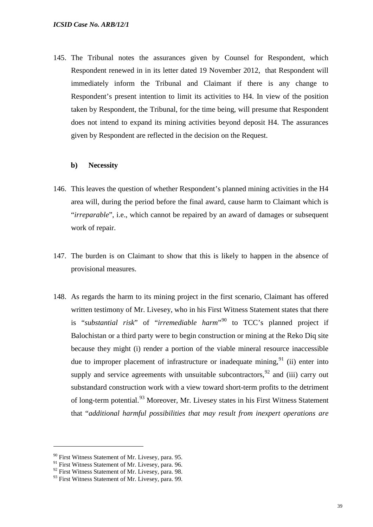145. The Tribunal notes the assurances given by Counsel for Respondent, which Respondent renewed in in its letter dated 19 November 2012, that Respondent will immediately inform the Tribunal and Claimant if there is any change to Respondent's present intention to limit its activities to H4. In view of the position taken by Respondent, the Tribunal, for the time being, will presume that Respondent does not intend to expand its mining activities beyond deposit H4. The assurances given by Respondent are reflected in the decision on the Request.

#### **b) Necessity**

- 146. This leaves the question of whether Respondent's planned mining activities in the H4 area will, during the period before the final award, cause harm to Claimant which is "*irreparable*", i.e., which cannot be repaired by an award of damages or subsequent work of repair.
- 147. The burden is on Claimant to show that this is likely to happen in the absence of provisional measures.
- 148. As regards the harm to its mining project in the first scenario, Claimant has offered written testimony of Mr. Livesey, who in his First Witness Statement states that there is "*substantial risk*" of "*irremediable harm*"[90](#page-40-0) to TCC's planned project if Balochistan or a third party were to begin construction or mining at the Reko Diq site because they might (i) render a portion of the viable mineral resource inaccessible due to improper placement of infrastructure or inadequate mining,  $91$  (ii) enter into supply and service agreements with unsuitable subcontractors, $92$  and (iii) carry out substandard construction work with a view toward short-term profits to the detriment of long-term potential.<sup>[93](#page-40-3)</sup> Moreover, Mr. Livesey states in his First Witness Statement that "*additional harmful possibilities that may result from inexpert operations are*

 $90$  First Witness Statement of Mr. Livesey, para. 95.

<span id="page-40-1"></span><span id="page-40-0"></span><sup>&</sup>lt;sup>91</sup> First Witness Statement of Mr. Livesey, para. 96.

<span id="page-40-2"></span><sup>&</sup>lt;sup>92</sup> First Witness Statement of Mr. Livesey, para. 98.

<span id="page-40-3"></span><sup>&</sup>lt;sup>93</sup> First Witness Statement of Mr. Livesey, para. 99.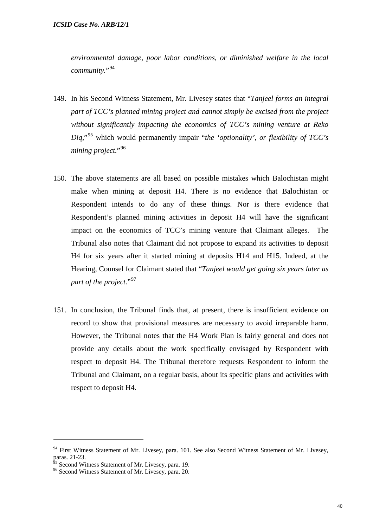*environmental damage, poor labor conditions, or diminished welfare in the local community.*"[94](#page-41-0)

- 149. In his Second Witness Statement, Mr. Livesey states that "*Tanjeel forms an integral part of TCC's planned mining project and cannot simply be excised from the project without significantly impacting the economics of TCC's mining venture at Reko Diq,*"[95](#page-41-1) which would permanently impair "*the 'optionality', or flexibility of TCC's mining project.*"[96](#page-41-2)
- 150. The above statements are all based on possible mistakes which Balochistan might make when mining at deposit H4. There is no evidence that Balochistan or Respondent intends to do any of these things. Nor is there evidence that Respondent's planned mining activities in deposit H4 will have the significant impact on the economics of TCC's mining venture that Claimant alleges. The Tribunal also notes that Claimant did not propose to expand its activities to deposit H4 for six years after it started mining at deposits H14 and H15. Indeed, at the Hearing, Counsel for Claimant stated that "*Tanjeel would get going six years later as*  part of the project."<sup>[97](#page-41-3)</sup>
- 151. In conclusion, the Tribunal finds that, at present, there is insufficient evidence on record to show that provisional measures are necessary to avoid irreparable harm. However, the Tribunal notes that the H4 Work Plan is fairly general and does not provide any details about the work specifically envisaged by Respondent with respect to deposit H4. The Tribunal therefore requests Respondent to inform the Tribunal and Claimant, on a regular basis, about its specific plans and activities with respect to deposit H4.

<span id="page-41-0"></span> $94$  First Witness Statement of Mr. Livesey, para. 101. See also Second Witness Statement of Mr. Livesey, paras. 21-23.<br><sup>95</sup> Second Witness Statement of Mr. Livesey, para. 19.

<span id="page-41-1"></span>

<span id="page-41-3"></span><span id="page-41-2"></span><sup>&</sup>lt;sup>96</sup> Second Witness Statement of Mr. Livesey, para. 20.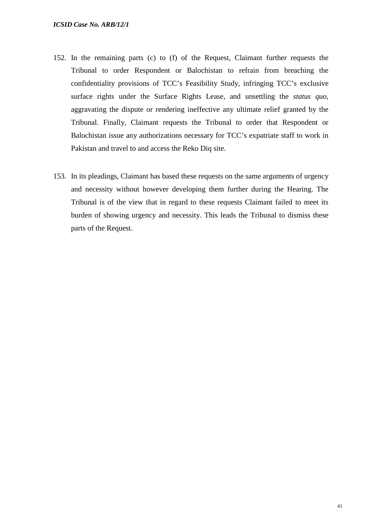- 152. In the remaining parts (c) to (f) of the Request, Claimant further requests the Tribunal to order Respondent or Balochistan to refrain from breaching the confidentiality provisions of TCC's Feasibility Study, infringing TCC's exclusive surface rights under the Surface Rights Lease, and unsettling the *status quo*, aggravating the dispute or rendering ineffective any ultimate relief granted by the Tribunal. Finally, Claimant requests the Tribunal to order that Respondent or Balochistan issue any authorizations necessary for TCC's expatriate staff to work in Pakistan and travel to and access the Reko Diq site.
- 153. In its pleadings, Claimant has based these requests on the same arguments of urgency and necessity without however developing them further during the Hearing. The Tribunal is of the view that in regard to these requests Claimant failed to meet its burden of showing urgency and necessity. This leads the Tribunal to dismiss these parts of the Request.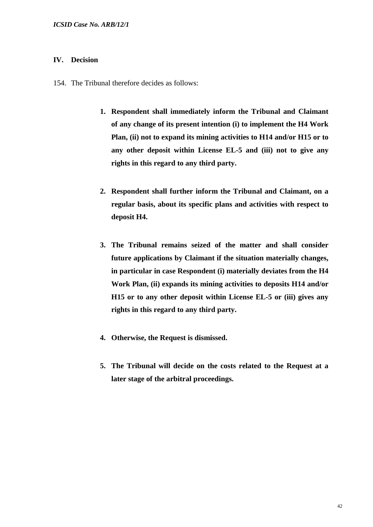## **IV. Decision**

154. The Tribunal therefore decides as follows:

- **1. Respondent shall immediately inform the Tribunal and Claimant of any change of its present intention (i) to implement the H4 Work Plan, (ii) not to expand its mining activities to H14 and/or H15 or to any other deposit within License EL-5 and (iii) not to give any rights in this regard to any third party.**
- **2. Respondent shall further inform the Tribunal and Claimant, on a regular basis, about its specific plans and activities with respect to deposit H4.**
- **3. The Tribunal remains seized of the matter and shall consider future applications by Claimant if the situation materially changes, in particular in case Respondent (i) materially deviates from the H4 Work Plan, (ii) expands its mining activities to deposits H14 and/or H15 or to any other deposit within License EL-5 or (iii) gives any rights in this regard to any third party.**
- **4. Otherwise, the Request is dismissed.**
- **5. The Tribunal will decide on the costs related to the Request at a later stage of the arbitral proceedings.**